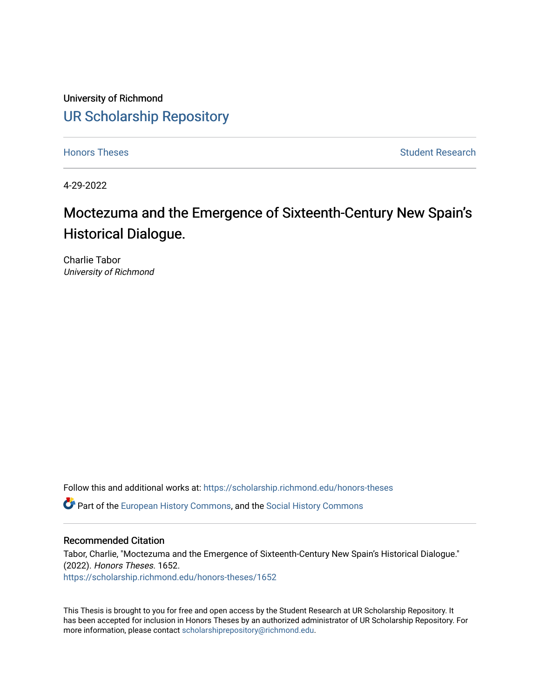University of Richmond [UR Scholarship Repository](https://scholarship.richmond.edu/) 

[Honors Theses](https://scholarship.richmond.edu/honors-theses) **Student Research Honors** Theses Student Research

4-29-2022

# Moctezuma and the Emergence of Sixteenth-Century New Spain's Historical Dialogue.

Charlie Tabor University of Richmond

Follow this and additional works at: [https://scholarship.richmond.edu/honors-theses](https://scholarship.richmond.edu/honors-theses?utm_source=scholarship.richmond.edu%2Fhonors-theses%2F1652&utm_medium=PDF&utm_campaign=PDFCoverPages)

**C** Part of the [European History Commons](https://network.bepress.com/hgg/discipline/492?utm_source=scholarship.richmond.edu%2Fhonors-theses%2F1652&utm_medium=PDF&utm_campaign=PDFCoverPages), and the [Social History Commons](https://network.bepress.com/hgg/discipline/506?utm_source=scholarship.richmond.edu%2Fhonors-theses%2F1652&utm_medium=PDF&utm_campaign=PDFCoverPages)

#### Recommended Citation

Tabor, Charlie, "Moctezuma and the Emergence of Sixteenth-Century New Spain's Historical Dialogue." (2022). Honors Theses. 1652. [https://scholarship.richmond.edu/honors-theses/1652](https://scholarship.richmond.edu/honors-theses/1652?utm_source=scholarship.richmond.edu%2Fhonors-theses%2F1652&utm_medium=PDF&utm_campaign=PDFCoverPages) 

This Thesis is brought to you for free and open access by the Student Research at UR Scholarship Repository. It has been accepted for inclusion in Honors Theses by an authorized administrator of UR Scholarship Repository. For more information, please contact [scholarshiprepository@richmond.edu](mailto:scholarshiprepository@richmond.edu).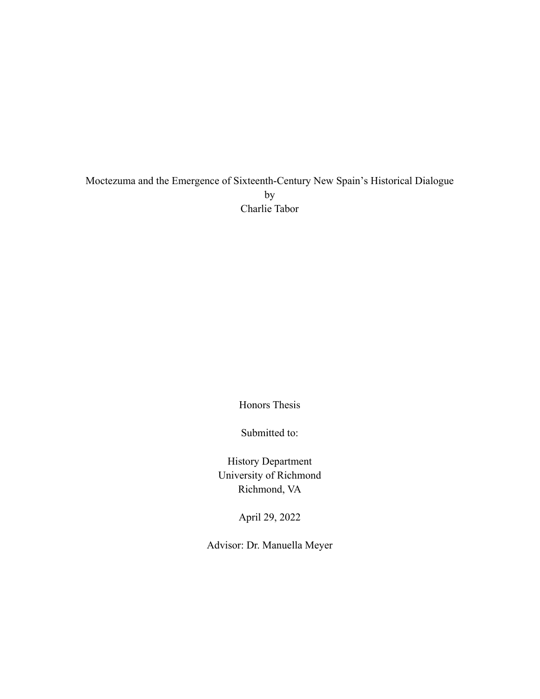Moctezuma and the Emergence of Sixteenth-Century New Spain's Historical Dialogue by Charlie Tabor

Honors Thesis

Submitted to:

History Department University of Richmond Richmond, VA

April 29, 2022

Advisor: Dr. Manuella Meyer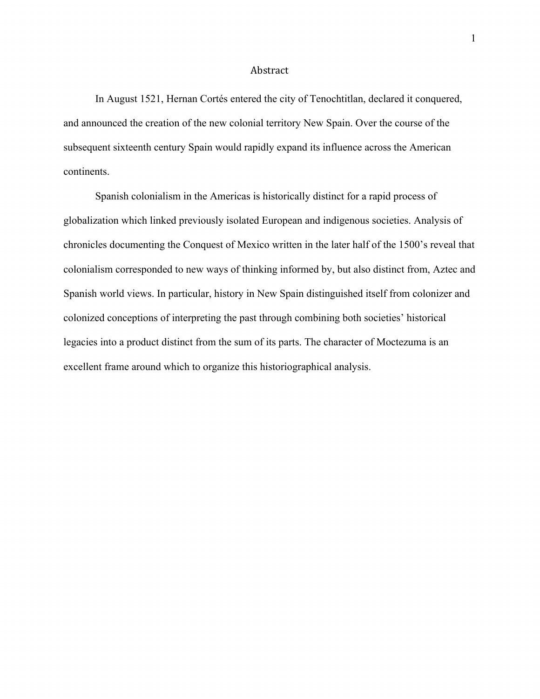#### Abstract

In August 1521, Hernan Cortés entered the city of Tenochtitlan, declared it conquered, and announced the creation of the new colonial territory New Spain. Over the course of the subsequent sixteenth century Spain would rapidly expand its influence across the American continents.

 Spanish colonialism in the Americas is historically distinct for a rapid process of globalization which linked previously isolated European and indigenous societies. Analysis of chronicles documenting the Conquest of Mexico written in the later half of the 1500's reveal that colonialism corresponded to new ways of thinking informed by, but also distinct from, Aztec and Spanish world views. In particular, history in New Spain distinguished itself from colonizer and colonized conceptions of interpreting the past through combining both societies' historical legacies into a product distinct from the sum of its parts. The character of Moctezuma is an excellent frame around which to organize this historiographical analysis.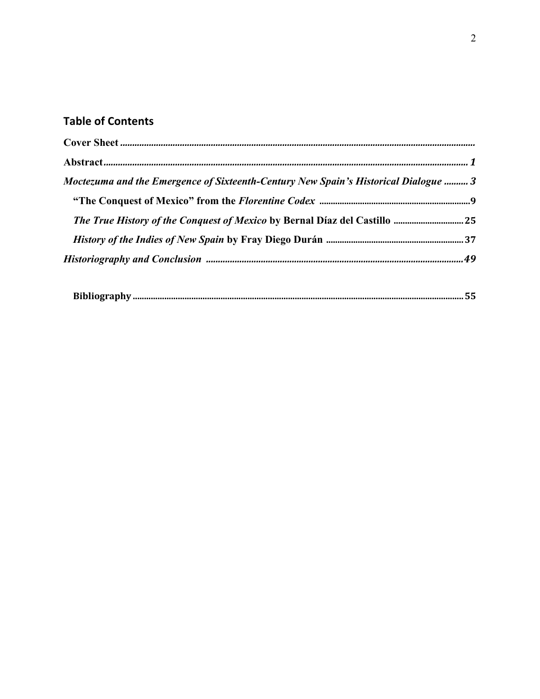## **Table of Contents**

| Moctezuma and the Emergence of Sixteenth-Century New Spain's Historical Dialogue  3 |  |
|-------------------------------------------------------------------------------------|--|
|                                                                                     |  |
|                                                                                     |  |
|                                                                                     |  |
|                                                                                     |  |
|                                                                                     |  |

|--|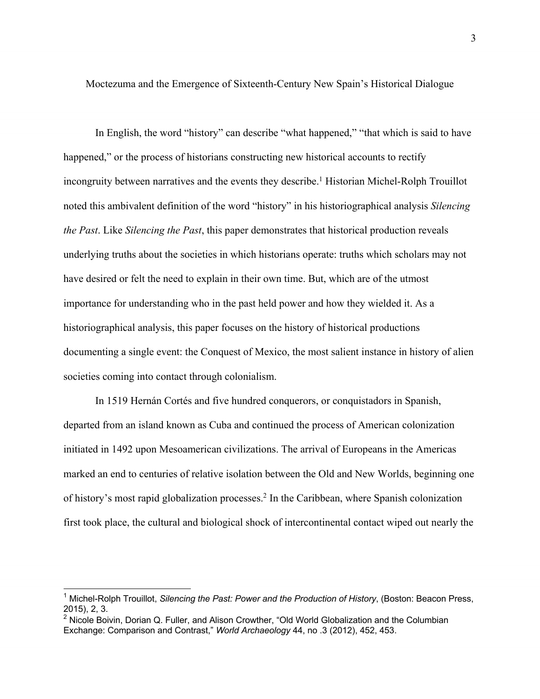Moctezuma and the Emergence of Sixteenth-Century New Spain's Historical Dialogue

 In English, the word "history" can describe "what happened," "that which is said to have happened," or the process of historians constructing new historical accounts to rectify incongruity between narratives and the events they describe.<sup>1</sup> Historian Michel-Rolph Trouillot noted this ambivalent definition of the word "history" in his historiographical analysis *Silencing the Past*. Like *Silencing the Past*, this paper demonstrates that historical production reveals underlying truths about the societies in which historians operate: truths which scholars may not have desired or felt the need to explain in their own time. But, which are of the utmost importance for understanding who in the past held power and how they wielded it. As a historiographical analysis, this paper focuses on the history of historical productions documenting a single event: the Conquest of Mexico, the most salient instance in history of alien societies coming into contact through colonialism.

 In 1519 Hernán Cortés and five hundred conquerors, or conquistadors in Spanish, departed from an island known as Cuba and continued the process of American colonization initiated in 1492 upon Mesoamerican civilizations. The arrival of Europeans in the Americas marked an end to centuries of relative isolation between the Old and New Worlds, beginning one of history's most rapid globalization processes.2 In the Caribbean, where Spanish colonization first took place, the cultural and biological shock of intercontinental contact wiped out nearly the

<sup>1</sup> Michel-Rolph Trouillot, *Silencing the Past: Power and the Production of History*, (Boston: Beacon Press, 2015), 2, 3.

<sup>&</sup>lt;sup>2</sup> Nicole Boivin, Dorian Q. Fuller, and Alison Crowther, "Old World Globalization and the Columbian Exchange: Comparison and Contrast," *World Archaeology* 44, no .3 (2012), 452, 453.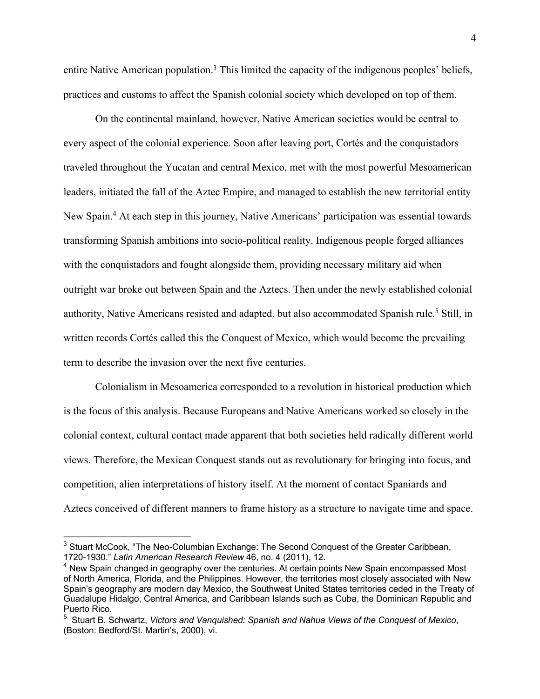entire Native American population.<sup>3</sup> This limited the capacity of the indigenous peoples' beliefs, practices and customs to affect the Spanish colonial society which developed on top of them.

On the continental mainland, however, Native American societies would be central to every aspect of the colonial experience. Soon after leaving port, Cortés and the conquistadors traveled throughout the Yucatan and central Mexico, met with the most powerful Mesoamerican leaders, initiated the fall of the Aztec Empire, and managed to establish the new territorial entity New Spain.4 At each step in this journey, Native Americans' participation was essential towards transforming Spanish ambitions into socio-political reality. Indigenous people forged alliances with the conquistadors and fought alongside them, providing necessary military aid when outright war broke out between Spain and the Aztecs. Then under the newly established colonial authority, Native Americans resisted and adapted, but also accommodated Spanish rule.<sup>5</sup> Still, in written records Cortés called this the Conquest of Mexico, which would become the prevailing term to describe the invasion over the next five centuries.

 Colonialism in Mesoamerica corresponded to a revolution in historical production which is the focus of this analysis. Because Europeans and Native Americans worked so closely in the colonial context, cultural contact made apparent that both societies held radically different world views. Therefore, the Mexican Conquest stands out as revolutionary for bringing into focus, and competition, alien interpretations of history itself. At the moment of contact Spaniards and Aztecs conceived of different manners to frame history as a structure to navigate time and space.

<sup>&</sup>lt;sup>3</sup> Stuart McCook, "The Neo-Columbian Exchange: The Second Conquest of the Greater Caribbean, 1720-1930." *Latin American Research Review* 46, no. 4 (2011), 12.

<sup>&</sup>lt;sup>4</sup> New Spain changed in geography over the centuries. At certain points New Spain encompassed Most of North America, Florida, and the Philippines. However, the territories most closely associated with New Spain's geography are modern day Mexico, the Southwest United States territories ceded in the Treaty of Guadalupe Hidalgo, Central America, and Caribbean Islands such as Cuba, the Dominican Republic and Puerto Rico.

<sup>5</sup> Stuart B. Schwartz, *Victors and Vanquished: Spanish and Nahua Views of the Conquest of Mexico*, (Boston: Bedford/St. Martin's, 2000), vi.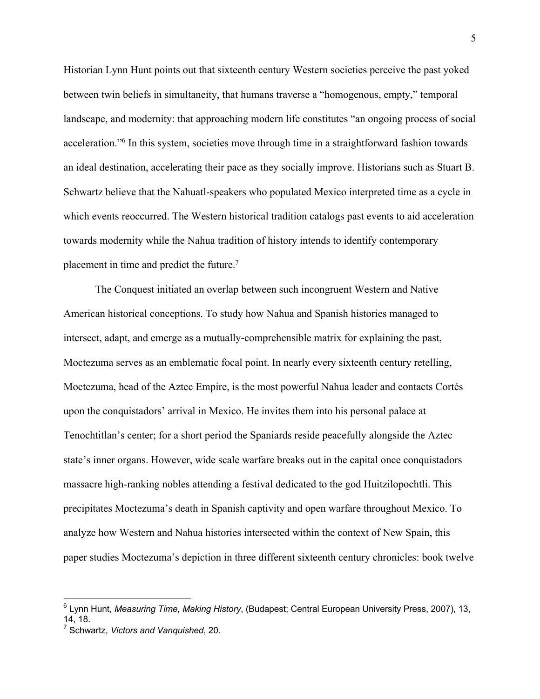Historian Lynn Hunt points out that sixteenth century Western societies perceive the past yoked between twin beliefs in simultaneity, that humans traverse a "homogenous, empty," temporal landscape, and modernity: that approaching modern life constitutes "an ongoing process of social acceleration."6 In this system, societies move through time in a straightforward fashion towards an ideal destination, accelerating their pace as they socially improve. Historians such as Stuart B. Schwartz believe that the Nahuatl-speakers who populated Mexico interpreted time as a cycle in which events reoccurred. The Western historical tradition catalogs past events to aid acceleration towards modernity while the Nahua tradition of history intends to identify contemporary placement in time and predict the future.7

 The Conquest initiated an overlap between such incongruent Western and Native American historical conceptions. To study how Nahua and Spanish histories managed to intersect, adapt, and emerge as a mutually-comprehensible matrix for explaining the past, Moctezuma serves as an emblematic focal point. In nearly every sixteenth century retelling, Moctezuma, head of the Aztec Empire, is the most powerful Nahua leader and contacts Cortés upon the conquistadors' arrival in Mexico. He invites them into his personal palace at Tenochtitlan's center; for a short period the Spaniards reside peacefully alongside the Aztec state's inner organs. However, wide scale warfare breaks out in the capital once conquistadors massacre high-ranking nobles attending a festival dedicated to the god Huitzilopochtli. This precipitates Moctezuma's death in Spanish captivity and open warfare throughout Mexico. To analyze how Western and Nahua histories intersected within the context of New Spain, this paper studies Moctezuma's depiction in three different sixteenth century chronicles: book twelve

<sup>6</sup> Lynn Hunt, *Measuring Time, Making History*, (Budapest; Central European University Press, 2007), 13, 14, 18.

<sup>7</sup> Schwartz, *Victors and Vanquished*, 20.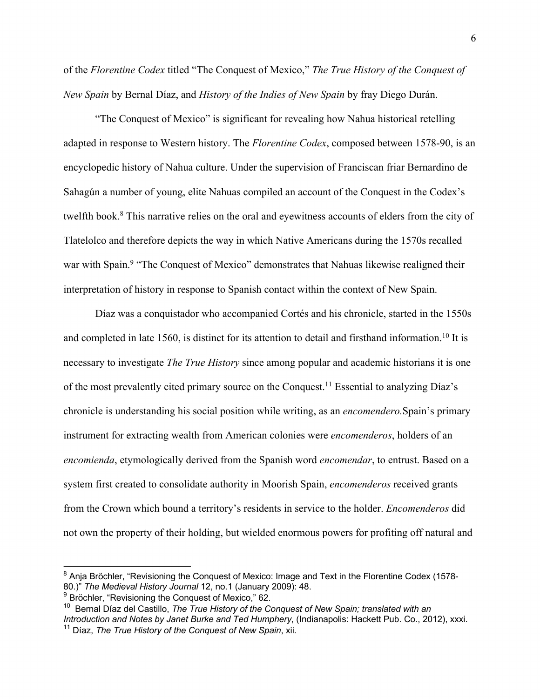of the *Florentine Codex* titled "The Conquest of Mexico," *The True History of the Conquest of New Spain* by Bernal Díaz, and *History of the Indies of New Spain* by fray Diego Durán.

 "The Conquest of Mexico" is significant for revealing how Nahua historical retelling adapted in response to Western history. The *Florentine Codex*, composed between 1578-90, is an encyclopedic history of Nahua culture. Under the supervision of Franciscan friar Bernardino de Sahagún a number of young, elite Nahuas compiled an account of the Conquest in the Codex's twelfth book.<sup>8</sup> This narrative relies on the oral and eyewitness accounts of elders from the city of Tlatelolco and therefore depicts the way in which Native Americans during the 1570s recalled war with Spain.<sup>9</sup> "The Conquest of Mexico" demonstrates that Nahuas likewise realigned their interpretation of history in response to Spanish contact within the context of New Spain.

Díaz was a conquistador who accompanied Cortés and his chronicle, started in the 1550s and completed in late 1560, is distinct for its attention to detail and firsthand information.<sup>10</sup> It is necessary to investigate *The True History* since among popular and academic historians it is one of the most prevalently cited primary source on the Conquest.11 Essential to analyzing Díaz's chronicle is understanding his social position while writing, as an *encomendero.*Spain's primary instrument for extracting wealth from American colonies were *encomenderos*, holders of an *encomienda*, etymologically derived from the Spanish word *encomendar*, to entrust. Based on a system first created to consolidate authority in Moorish Spain, *encomenderos* received grants from the Crown which bound a territory's residents in service to the holder. *Encomenderos* did not own the property of their holding, but wielded enormous powers for profiting off natural and

 $8$  Anja Bröchler, "Revisioning the Conquest of Mexico: Image and Text in the Florentine Codex (1578-80.)" *The Medieval History Journal* 12, no.1 (January 2009): 48.

<sup>&</sup>lt;sup>9</sup> Bröchler, "Revisioning the Conquest of Mexico," 62.

<sup>10</sup> Bernal Díaz del Castillo, *The True History of the Conquest of New Spain; translated with an Introduction and Notes by Janet Burke and Ted Humphery*, (Indianapolis: Hackett Pub. Co., 2012), xxxi. <sup>11</sup> Díaz, *The True History of the Conquest of New Spain*, xii.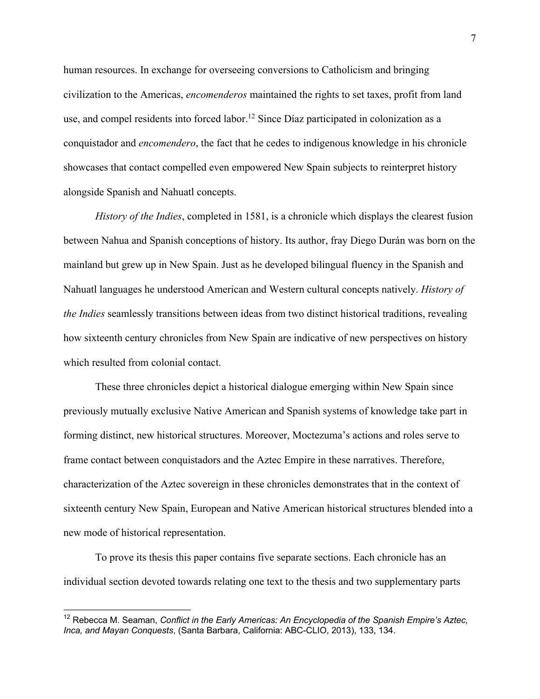human resources. In exchange for overseeing conversions to Catholicism and bringing civilization to the Americas, *encomenderos* maintained the rights to set taxes, profit from land use, and compel residents into forced labor.<sup>12</sup> Since Díaz participated in colonization as a conquistador and *encomendero*, the fact that he cedes to indigenous knowledge in his chronicle showcases that contact compelled even empowered New Spain subjects to reinterpret history alongside Spanish and Nahuatl concepts.

*History of the Indies*, completed in 1581, is a chronicle which displays the clearest fusion between Nahua and Spanish conceptions of history. Its author, fray Diego Durán was born on the mainland but grew up in New Spain. Just as he developed bilingual fluency in the Spanish and Nahuatl languages he understood American and Western cultural concepts natively. *History of the Indies* seamlessly transitions between ideas from two distinct historical traditions, revealing how sixteenth century chronicles from New Spain are indicative of new perspectives on history which resulted from colonial contact.

These three chronicles depict a historical dialogue emerging within New Spain since previously mutually exclusive Native American and Spanish systems of knowledge take part in forming distinct, new historical structures. Moreover, Moctezuma's actions and roles serve to frame contact between conquistadors and the Aztec Empire in these narratives. Therefore, characterization of the Aztec sovereign in these chronicles demonstrates that in the context of sixteenth century New Spain, European and Native American historical structures blended into a new mode of historical representation.

To prove its thesis this paper contains five separate sections. Each chronicle has an individual section devoted towards relating one text to the thesis and two supplementary parts

<sup>&</sup>lt;sup>12</sup> Rebecca M. Seaman, *Conflict in the Early Americas: An Encyclopedia of the Spanish Empire's Aztec, Inca, and Mayan Conquests*, (Santa Barbara, California: ABC-CLIO, 2013), 133, 134.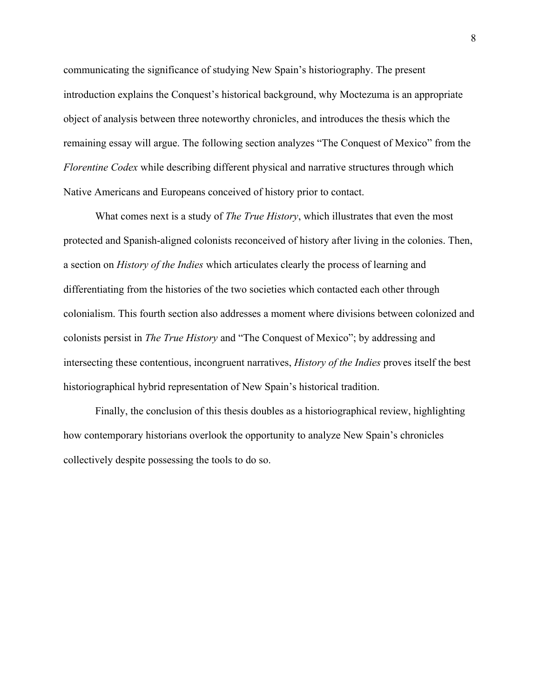communicating the significance of studying New Spain's historiography. The present introduction explains the Conquest's historical background, why Moctezuma is an appropriate object of analysis between three noteworthy chronicles, and introduces the thesis which the remaining essay will argue. The following section analyzes "The Conquest of Mexico" from the *Florentine Codex* while describing different physical and narrative structures through which Native Americans and Europeans conceived of history prior to contact.

What comes next is a study of *The True History*, which illustrates that even the most protected and Spanish-aligned colonists reconceived of history after living in the colonies. Then, a section on *History of the Indies* which articulates clearly the process of learning and differentiating from the histories of the two societies which contacted each other through colonialism. This fourth section also addresses a moment where divisions between colonized and colonists persist in *The True History* and "The Conquest of Mexico"; by addressing and intersecting these contentious, incongruent narratives, *History of the Indies* proves itself the best historiographical hybrid representation of New Spain's historical tradition.

Finally, the conclusion of this thesis doubles as a historiographical review, highlighting how contemporary historians overlook the opportunity to analyze New Spain's chronicles collectively despite possessing the tools to do so.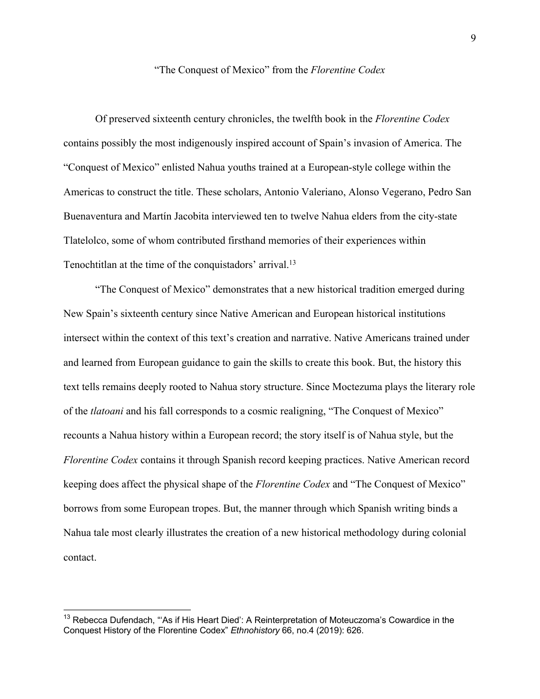### "The Conquest of Mexico" from the *Florentine Codex*

 Of preserved sixteenth century chronicles, the twelfth book in the *Florentine Codex*  contains possibly the most indigenously inspired account of Spain's invasion of America. The "Conquest of Mexico" enlisted Nahua youths trained at a European-style college within the Americas to construct the title. These scholars, Antonio Valeriano, Alonso Vegerano, Pedro San Buenaventura and Martín Jacobita interviewed ten to twelve Nahua elders from the city-state Tlatelolco, some of whom contributed firsthand memories of their experiences within Tenochtitlan at the time of the conquistadors' arrival.<sup>13</sup>

 "The Conquest of Mexico" demonstrates that a new historical tradition emerged during New Spain's sixteenth century since Native American and European historical institutions intersect within the context of this text's creation and narrative. Native Americans trained under and learned from European guidance to gain the skills to create this book. But, the history this text tells remains deeply rooted to Nahua story structure. Since Moctezuma plays the literary role of the *tlatoani* and his fall corresponds to a cosmic realigning, "The Conquest of Mexico" recounts a Nahua history within a European record; the story itself is of Nahua style, but the *Florentine Codex* contains it through Spanish record keeping practices. Native American record keeping does affect the physical shape of the *Florentine Codex* and "The Conquest of Mexico" borrows from some European tropes. But, the manner through which Spanish writing binds a Nahua tale most clearly illustrates the creation of a new historical methodology during colonial contact.

<sup>&</sup>lt;sup>13</sup> Rebecca Dufendach, "'As if His Heart Died': A Reinterpretation of Moteuczoma's Cowardice in the Conquest History of the Florentine Codex" *Ethnohistory* 66, no.4 (2019): 626.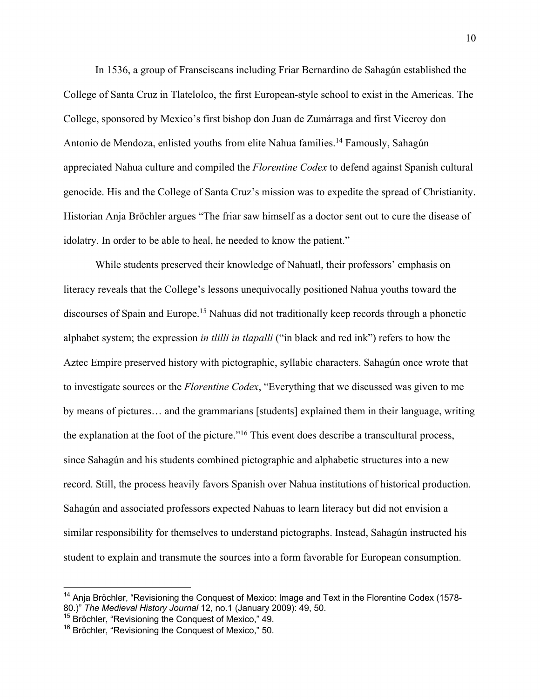In 1536, a group of Fransciscans including Friar Bernardino de Sahagún established the College of Santa Cruz in Tlatelolco, the first European-style school to exist in the Americas. The College, sponsored by Mexico's first bishop don Juan de Zumárraga and first Viceroy don Antonio de Mendoza, enlisted youths from elite Nahua families.<sup>14</sup> Famously, Sahagún appreciated Nahua culture and compiled the *Florentine Codex* to defend against Spanish cultural genocide. His and the College of Santa Cruz's mission was to expedite the spread of Christianity. Historian Anja Bröchler argues "The friar saw himself as a doctor sent out to cure the disease of idolatry. In order to be able to heal, he needed to know the patient."

While students preserved their knowledge of Nahuatl, their professors' emphasis on literacy reveals that the College's lessons unequivocally positioned Nahua youths toward the discourses of Spain and Europe.<sup>15</sup> Nahuas did not traditionally keep records through a phonetic alphabet system; the expression *in tlilli in tlapalli* ("in black and red ink") refers to how the Aztec Empire preserved history with pictographic, syllabic characters. Sahagún once wrote that to investigate sources or the *Florentine Codex*, "Everything that we discussed was given to me by means of pictures… and the grammarians [students] explained them in their language, writing the explanation at the foot of the picture."<sup>16</sup> This event does describe a transcultural process, since Sahagún and his students combined pictographic and alphabetic structures into a new record. Still, the process heavily favors Spanish over Nahua institutions of historical production. Sahagún and associated professors expected Nahuas to learn literacy but did not envision a similar responsibility for themselves to understand pictographs. Instead, Sahagún instructed his student to explain and transmute the sources into a form favorable for European consumption.

<sup>&</sup>lt;sup>14</sup> Anja Bröchler, "Revisioning the Conquest of Mexico: Image and Text in the Florentine Codex (1578-80.)" *The Medieval History Journal* 12, no.1 (January 2009): 49, 50.

<sup>&</sup>lt;sup>15</sup> Bröchler, "Revisioning the Conquest of Mexico," 49.

<sup>&</sup>lt;sup>16</sup> Bröchler, "Revisioning the Conquest of Mexico," 50.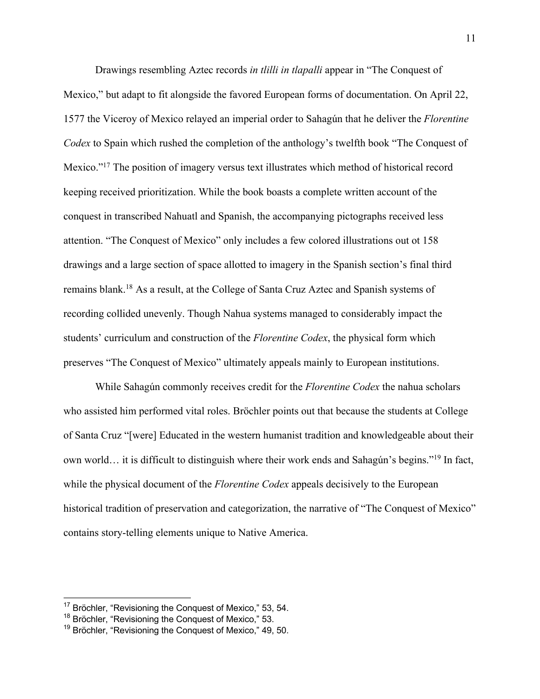Drawings resembling Aztec records *in tlilli in tlapalli* appear in "The Conquest of Mexico," but adapt to fit alongside the favored European forms of documentation. On April 22, 1577 the Viceroy of Mexico relayed an imperial order to Sahagún that he deliver the *Florentine Codex* to Spain which rushed the completion of the anthology's twelfth book "The Conquest of Mexico."17 The position of imagery versus text illustrates which method of historical record keeping received prioritization. While the book boasts a complete written account of the conquest in transcribed Nahuatl and Spanish, the accompanying pictographs received less attention. "The Conquest of Mexico" only includes a few colored illustrations out ot 158 drawings and a large section of space allotted to imagery in the Spanish section's final third remains blank.18 As a result, at the College of Santa Cruz Aztec and Spanish systems of recording collided unevenly. Though Nahua systems managed to considerably impact the students' curriculum and construction of the *Florentine Codex*, the physical form which preserves "The Conquest of Mexico" ultimately appeals mainly to European institutions.

While Sahagún commonly receives credit for the *Florentine Codex* the nahua scholars who assisted him performed vital roles. Bröchler points out that because the students at College of Santa Cruz "[were] Educated in the western humanist tradition and knowledgeable about their own world… it is difficult to distinguish where their work ends and Sahagún's begins."19 In fact, while the physical document of the *Florentine Codex* appeals decisively to the European historical tradition of preservation and categorization, the narrative of "The Conquest of Mexico" contains story-telling elements unique to Native America.

<sup>&</sup>lt;sup>17</sup> Bröchler, "Revisioning the Conquest of Mexico," 53, 54.

<sup>&</sup>lt;sup>18</sup> Bröchler, "Revisioning the Conquest of Mexico," 53.

<sup>&</sup>lt;sup>19</sup> Bröchler, "Revisioning the Conquest of Mexico," 49, 50.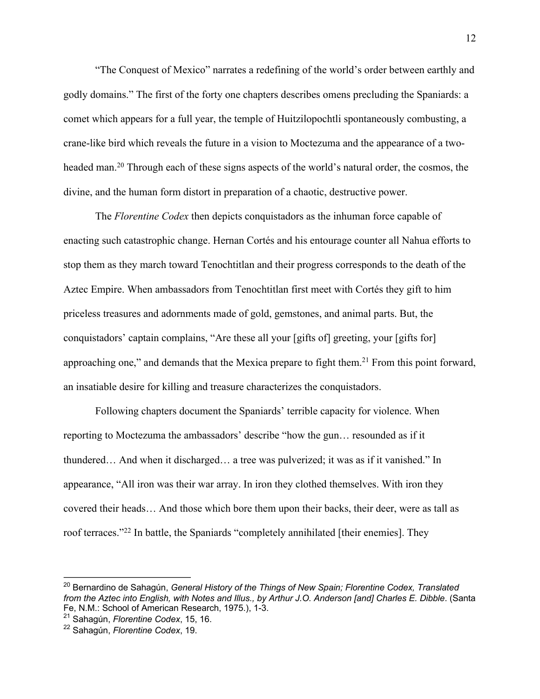"The Conquest of Mexico" narrates a redefining of the world's order between earthly and godly domains." The first of the forty one chapters describes omens precluding the Spaniards: a comet which appears for a full year, the temple of Huitzilopochtli spontaneously combusting, a crane-like bird which reveals the future in a vision to Moctezuma and the appearance of a twoheaded man.20 Through each of these signs aspects of the world's natural order, the cosmos, the divine, and the human form distort in preparation of a chaotic, destructive power.

The *Florentine Codex* then depicts conquistadors as the inhuman force capable of enacting such catastrophic change. Hernan Cortés and his entourage counter all Nahua efforts to stop them as they march toward Tenochtitlan and their progress corresponds to the death of the Aztec Empire. When ambassadors from Tenochtitlan first meet with Cortés they gift to him priceless treasures and adornments made of gold, gemstones, and animal parts. But, the conquistadors' captain complains, "Are these all your [gifts of] greeting, your [gifts for] approaching one," and demands that the Mexica prepare to fight them.<sup>21</sup> From this point forward, an insatiable desire for killing and treasure characterizes the conquistadors.

Following chapters document the Spaniards' terrible capacity for violence. When reporting to Moctezuma the ambassadors' describe "how the gun… resounded as if it thundered… And when it discharged… a tree was pulverized; it was as if it vanished." In appearance, "All iron was their war array. In iron they clothed themselves. With iron they covered their heads… And those which bore them upon their backs, their deer, were as tall as roof terraces."22 In battle, the Spaniards "completely annihilated [their enemies]. They

<sup>20</sup> Bernardino de Sahagún, *General History of the Things of New Spain; Florentine Codex, Translated from the Aztec into English, with Notes and Illus., by Arthur J.O. Anderson [and] Charles E. Dibble*. (Santa Fe, N.M.: School of American Research, 1975.), 1-3.

<sup>21</sup> Sahagún, *Florentine Codex*, 15, 16.

<sup>22</sup> Sahagún, *Florentine Codex*, 19.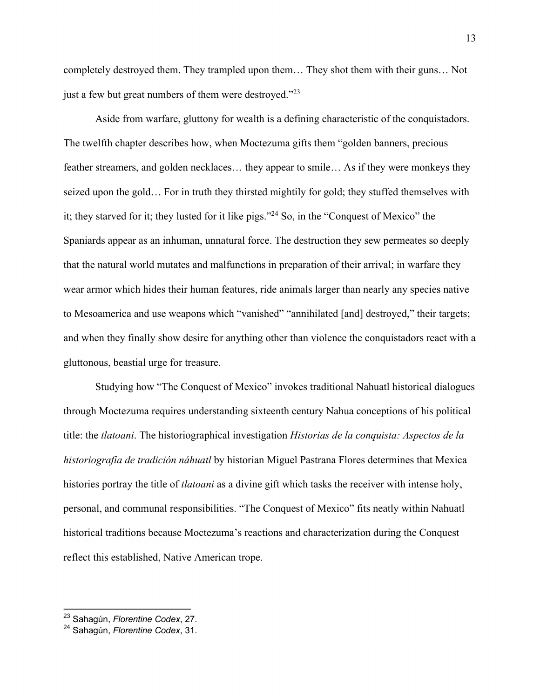completely destroyed them. They trampled upon them… They shot them with their guns… Not just a few but great numbers of them were destroyed."<sup>23</sup>

Aside from warfare, gluttony for wealth is a defining characteristic of the conquistadors. The twelfth chapter describes how, when Moctezuma gifts them "golden banners, precious feather streamers, and golden necklaces… they appear to smile… As if they were monkeys they seized upon the gold… For in truth they thirsted mightily for gold; they stuffed themselves with it; they starved for it; they lusted for it like pigs."24 So, in the "Conquest of Mexico" the Spaniards appear as an inhuman, unnatural force. The destruction they sew permeates so deeply that the natural world mutates and malfunctions in preparation of their arrival; in warfare they wear armor which hides their human features, ride animals larger than nearly any species native to Mesoamerica and use weapons which "vanished" "annihilated [and] destroyed," their targets; and when they finally show desire for anything other than violence the conquistadors react with a gluttonous, beastial urge for treasure.

Studying how "The Conquest of Mexico" invokes traditional Nahuatl historical dialogues through Moctezuma requires understanding sixteenth century Nahua conceptions of his political title: the *tlatoani*. The historiographical investigation *Historias de la conquista: Aspectos de la historiografía de tradición náhuatl* by historian Miguel Pastrana Flores determines that Mexica histories portray the title of *tlatoani* as a divine gift which tasks the receiver with intense holy, personal, and communal responsibilities. "The Conquest of Mexico" fits neatly within Nahuatl historical traditions because Moctezuma's reactions and characterization during the Conquest reflect this established, Native American trope.

<sup>23</sup> Sahagún, *Florentine Codex*, 27.

<sup>24</sup> Sahagún, *Florentine Codex*, 31.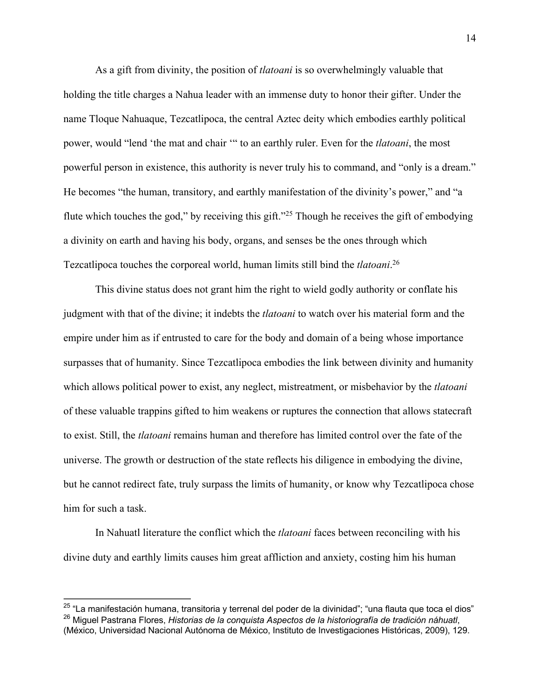As a gift from divinity, the position of *tlatoani* is so overwhelmingly valuable that holding the title charges a Nahua leader with an immense duty to honor their gifter. Under the name Tloque Nahuaque, Tezcatlipoca, the central Aztec deity which embodies earthly political power, would "lend 'the mat and chair '" to an earthly ruler. Even for the *tlatoani*, the most powerful person in existence, this authority is never truly his to command, and "only is a dream." He becomes "the human, transitory, and earthly manifestation of the divinity's power," and "a flute which touches the god," by receiving this gift."<sup>25</sup> Though he receives the gift of embodying a divinity on earth and having his body, organs, and senses be the ones through which Tezcatlipoca touches the corporeal world, human limits still bind the *tlatoani*. 26

This divine status does not grant him the right to wield godly authority or conflate his judgment with that of the divine; it indebts the *tlatoani* to watch over his material form and the empire under him as if entrusted to care for the body and domain of a being whose importance surpasses that of humanity. Since Tezcatlipoca embodies the link between divinity and humanity which allows political power to exist, any neglect, mistreatment, or misbehavior by the *tlatoani* of these valuable trappins gifted to him weakens or ruptures the connection that allows statecraft to exist. Still, the *tlatoani* remains human and therefore has limited control over the fate of the universe. The growth or destruction of the state reflects his diligence in embodying the divine, but he cannot redirect fate, truly surpass the limits of humanity, or know why Tezcatlipoca chose him for such a task.

In Nahuatl literature the conflict which the *tlatoani* faces between reconciling with his divine duty and earthly limits causes him great affliction and anxiety, costing him his human

 $25$  "La manifestación humana, transitoria y terrenal del poder de la divinidad"; "una flauta que toca el dios" <sup>26</sup> Miguel Pastrana Flores, *Historias de la conquista Aspectos de la historiografía de tradición náhuatl*, (México, Universidad Nacional Autónoma de México, Instituto de Investigaciones Históricas, 2009), 129.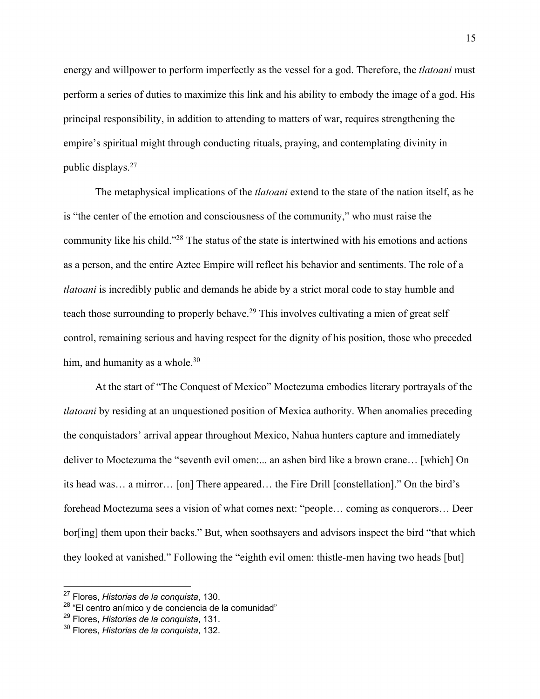energy and willpower to perform imperfectly as the vessel for a god. Therefore, the *tlatoani* must perform a series of duties to maximize this link and his ability to embody the image of a god. His principal responsibility, in addition to attending to matters of war, requires strengthening the empire's spiritual might through conducting rituals, praying, and contemplating divinity in public displays.27

The metaphysical implications of the *tlatoani* extend to the state of the nation itself, as he is "the center of the emotion and consciousness of the community," who must raise the community like his child."28 The status of the state is intertwined with his emotions and actions as a person, and the entire Aztec Empire will reflect his behavior and sentiments. The role of a *tlatoani* is incredibly public and demands he abide by a strict moral code to stay humble and teach those surrounding to properly behave.<sup>29</sup> This involves cultivating a mien of great self control, remaining serious and having respect for the dignity of his position, those who preceded him, and humanity as a whole.<sup>30</sup>

At the start of "The Conquest of Mexico" Moctezuma embodies literary portrayals of the *tlatoani* by residing at an unquestioned position of Mexica authority. When anomalies preceding the conquistadors' arrival appear throughout Mexico, Nahua hunters capture and immediately deliver to Moctezuma the "seventh evil omen:... an ashen bird like a brown crane… [which] On its head was… a mirror… [on] There appeared… the Fire Drill [constellation]." On the bird's forehead Moctezuma sees a vision of what comes next: "people… coming as conquerors… Deer bor[ing] them upon their backs." But, when soothsayers and advisors inspect the bird "that which they looked at vanished." Following the "eighth evil omen: thistle-men having two heads [but]

<sup>27</sup> Flores, *Historias de la conquista*, 130.

 $28$  "El centro anímico y de conciencia de la comunidad"

<sup>29</sup> Flores, *Historias de la conquista*, 131.

<sup>30</sup> Flores, *Historias de la conquista*, 132.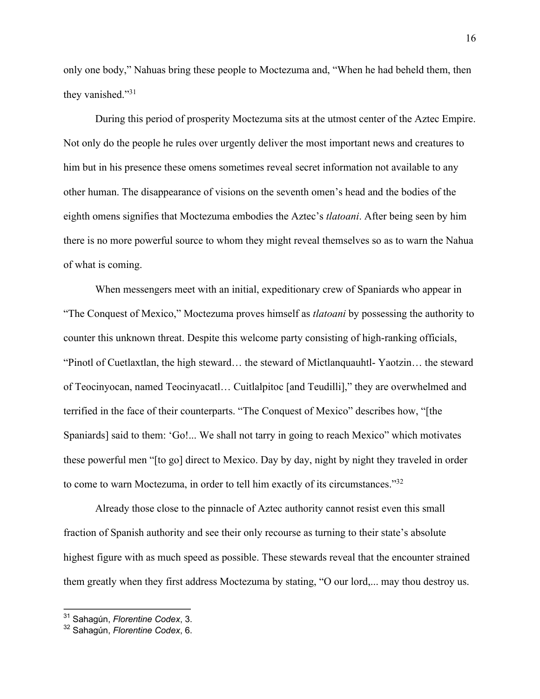only one body," Nahuas bring these people to Moctezuma and, "When he had beheld them, then they vanished."<sup>31</sup>

During this period of prosperity Moctezuma sits at the utmost center of the Aztec Empire. Not only do the people he rules over urgently deliver the most important news and creatures to him but in his presence these omens sometimes reveal secret information not available to any other human. The disappearance of visions on the seventh omen's head and the bodies of the eighth omens signifies that Moctezuma embodies the Aztec's *tlatoani*. After being seen by him there is no more powerful source to whom they might reveal themselves so as to warn the Nahua of what is coming.

When messengers meet with an initial, expeditionary crew of Spaniards who appear in "The Conquest of Mexico," Moctezuma proves himself as *tlatoani* by possessing the authority to counter this unknown threat. Despite this welcome party consisting of high-ranking officials, "Pinotl of Cuetlaxtlan, the high steward… the steward of Mictlanquauhtl- Yaotzin… the steward of Teocinyocan, named Teocinyacatl… Cuitlalpitoc [and Teudilli]," they are overwhelmed and terrified in the face of their counterparts. "The Conquest of Mexico" describes how, "[the Spaniards] said to them: 'Go!... We shall not tarry in going to reach Mexico" which motivates these powerful men "[to go] direct to Mexico. Day by day, night by night they traveled in order to come to warn Moctezuma, in order to tell him exactly of its circumstances."32

Already those close to the pinnacle of Aztec authority cannot resist even this small fraction of Spanish authority and see their only recourse as turning to their state's absolute highest figure with as much speed as possible. These stewards reveal that the encounter strained them greatly when they first address Moctezuma by stating, "O our lord,... may thou destroy us.

<sup>31</sup> Sahagún, *Florentine Codex*, 3.

<sup>32</sup> Sahagún, *Florentine Codex*, 6.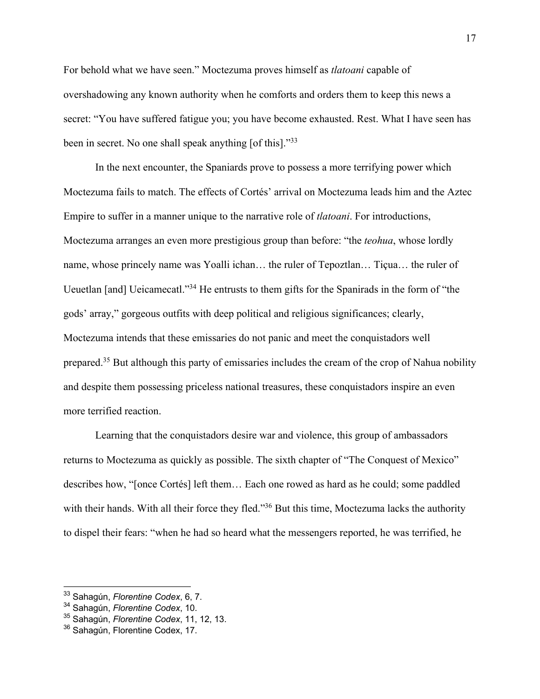For behold what we have seen." Moctezuma proves himself as *tlatoani* capable of overshadowing any known authority when he comforts and orders them to keep this news a secret: "You have suffered fatigue you; you have become exhausted. Rest. What I have seen has been in secret. No one shall speak anything [of this]."<sup>33</sup>

In the next encounter, the Spaniards prove to possess a more terrifying power which Moctezuma fails to match. The effects of Cortés' arrival on Moctezuma leads him and the Aztec Empire to suffer in a manner unique to the narrative role of *tlatoani*. For introductions, Moctezuma arranges an even more prestigious group than before: "the *teohua*, whose lordly name, whose princely name was Yoalli ichan… the ruler of Tepoztlan… Tiçua… the ruler of Ueuetlan [and] Ueicamecatl."34 He entrusts to them gifts for the Spanirads in the form of "the gods' array," gorgeous outfits with deep political and religious significances; clearly, Moctezuma intends that these emissaries do not panic and meet the conquistadors well prepared.<sup>35</sup> But although this party of emissaries includes the cream of the crop of Nahua nobility and despite them possessing priceless national treasures, these conquistadors inspire an even more terrified reaction.

Learning that the conquistadors desire war and violence, this group of ambassadors returns to Moctezuma as quickly as possible. The sixth chapter of "The Conquest of Mexico" describes how, "[once Cortés] left them… Each one rowed as hard as he could; some paddled with their hands. With all their force they fled."<sup>36</sup> But this time, Moctezuma lacks the authority to dispel their fears: "when he had so heard what the messengers reported, he was terrified, he

<sup>33</sup> Sahagún, *Florentine Codex*, 6, 7.

<sup>34</sup> Sahagún, *Florentine Codex*, 10.

<sup>35</sup> Sahagún, *Florentine Codex*, 11, 12, 13.

<sup>36</sup> Sahagún, Florentine Codex, 17.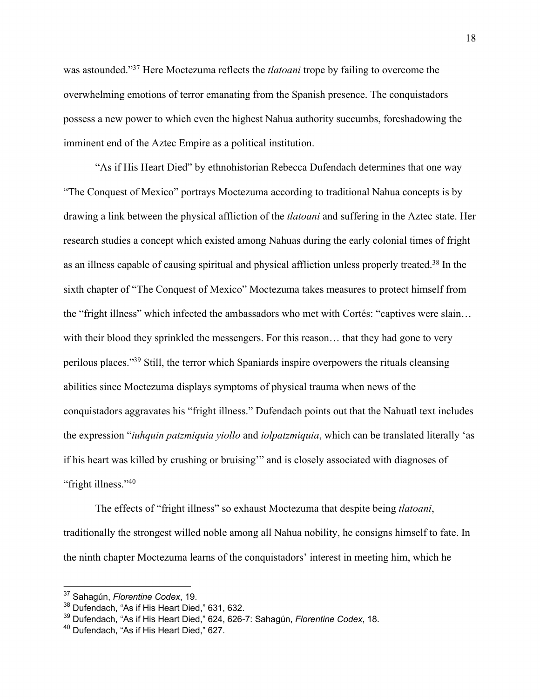was astounded."37 Here Moctezuma reflects the *tlatoani* trope by failing to overcome the overwhelming emotions of terror emanating from the Spanish presence. The conquistadors possess a new power to which even the highest Nahua authority succumbs, foreshadowing the imminent end of the Aztec Empire as a political institution.

"As if His Heart Died" by ethnohistorian Rebecca Dufendach determines that one way "The Conquest of Mexico" portrays Moctezuma according to traditional Nahua concepts is by drawing a link between the physical affliction of the *tlatoani* and suffering in the Aztec state. Her research studies a concept which existed among Nahuas during the early colonial times of fright as an illness capable of causing spiritual and physical affliction unless properly treated.38 In the sixth chapter of "The Conquest of Mexico" Moctezuma takes measures to protect himself from the "fright illness" which infected the ambassadors who met with Cortés: "captives were slain… with their blood they sprinkled the messengers. For this reason… that they had gone to very perilous places."39 Still, the terror which Spaniards inspire overpowers the rituals cleansing abilities since Moctezuma displays symptoms of physical trauma when news of the conquistadors aggravates his "fright illness." Dufendach points out that the Nahuatl text includes the expression "*iuhquin patzmiquia yiollo* and *iolpatzmiquia*, which can be translated literally 'as if his heart was killed by crushing or bruising'" and is closely associated with diagnoses of "fright illness."<sup>40</sup>

The effects of "fright illness" so exhaust Moctezuma that despite being *tlatoani*, traditionally the strongest willed noble among all Nahua nobility, he consigns himself to fate. In the ninth chapter Moctezuma learns of the conquistadors' interest in meeting him, which he

<sup>37</sup> Sahagún, *Florentine Codex*, 19.

<sup>38</sup> Dufendach, "As if His Heart Died," 631, 632.

<sup>39</sup> Dufendach, "As if His Heart Died," 624, 626-7: Sahagún, *Florentine Codex*, 18.

<sup>&</sup>lt;sup>40</sup> Dufendach, "As if His Heart Died," 627.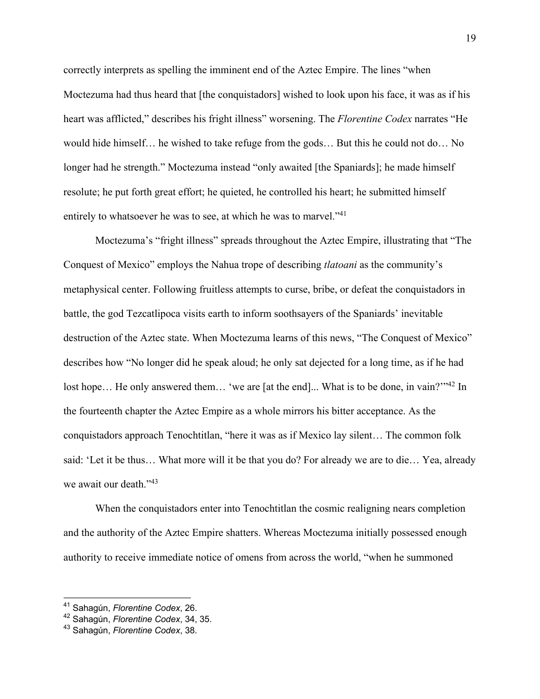correctly interprets as spelling the imminent end of the Aztec Empire. The lines "when Moctezuma had thus heard that [the conquistadors] wished to look upon his face, it was as if his heart was afflicted," describes his fright illness" worsening. The *Florentine Codex* narrates "He would hide himself… he wished to take refuge from the gods… But this he could not do… No longer had he strength." Moctezuma instead "only awaited [the Spaniards]; he made himself resolute; he put forth great effort; he quieted, he controlled his heart; he submitted himself entirely to whatsoever he was to see, at which he was to marvel."<sup>41</sup>

Moctezuma's "fright illness" spreads throughout the Aztec Empire, illustrating that "The Conquest of Mexico" employs the Nahua trope of describing *tlatoani* as the community's metaphysical center. Following fruitless attempts to curse, bribe, or defeat the conquistadors in battle, the god Tezcatlipoca visits earth to inform soothsayers of the Spaniards' inevitable destruction of the Aztec state. When Moctezuma learns of this news, "The Conquest of Mexico" describes how "No longer did he speak aloud; he only sat dejected for a long time, as if he had lost hope... He only answered them... 'we are [at the end]... What is to be done, in vain?'"<sup>42</sup> In the fourteenth chapter the Aztec Empire as a whole mirrors his bitter acceptance. As the conquistadors approach Tenochtitlan, "here it was as if Mexico lay silent… The common folk said: 'Let it be thus… What more will it be that you do? For already we are to die… Yea, already we await our death."<sup>43</sup>

When the conquistadors enter into Tenochtitlan the cosmic realigning nears completion and the authority of the Aztec Empire shatters. Whereas Moctezuma initially possessed enough authority to receive immediate notice of omens from across the world, "when he summoned

<sup>41</sup> Sahagún, *Florentine Codex*, 26.

<sup>42</sup> Sahagún, *Florentine Codex*, 34, 35.

<sup>43</sup> Sahagún, *Florentine Codex*, 38.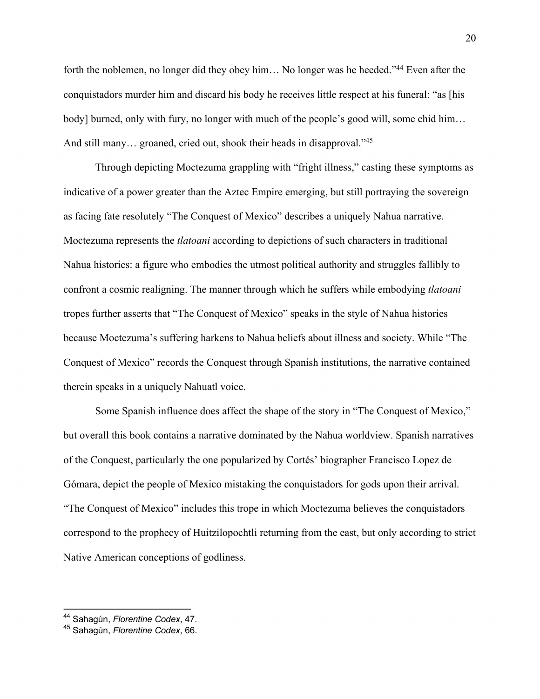forth the noblemen, no longer did they obey him... No longer was he heeded."<sup>44</sup> Even after the conquistadors murder him and discard his body he receives little respect at his funeral: "as [his body] burned, only with fury, no longer with much of the people's good will, some chid him… And still many... groaned, cried out, shook their heads in disapproval."<sup>45</sup>

Through depicting Moctezuma grappling with "fright illness," casting these symptoms as indicative of a power greater than the Aztec Empire emerging, but still portraying the sovereign as facing fate resolutely "The Conquest of Mexico" describes a uniquely Nahua narrative. Moctezuma represents the *tlatoani* according to depictions of such characters in traditional Nahua histories: a figure who embodies the utmost political authority and struggles fallibly to confront a cosmic realigning. The manner through which he suffers while embodying *tlatoani* tropes further asserts that "The Conquest of Mexico" speaks in the style of Nahua histories because Moctezuma's suffering harkens to Nahua beliefs about illness and society. While "The Conquest of Mexico" records the Conquest through Spanish institutions, the narrative contained therein speaks in a uniquely Nahuatl voice.

Some Spanish influence does affect the shape of the story in "The Conquest of Mexico," but overall this book contains a narrative dominated by the Nahua worldview. Spanish narratives of the Conquest, particularly the one popularized by Cortés' biographer Francisco Lopez de Gómara, depict the people of Mexico mistaking the conquistadors for gods upon their arrival. "The Conquest of Mexico" includes this trope in which Moctezuma believes the conquistadors correspond to the prophecy of Huitzilopochtli returning from the east, but only according to strict Native American conceptions of godliness.

<sup>44</sup> Sahagún, *Florentine Codex*, 47.

<sup>45</sup> Sahagún, *Florentine Codex*, 66.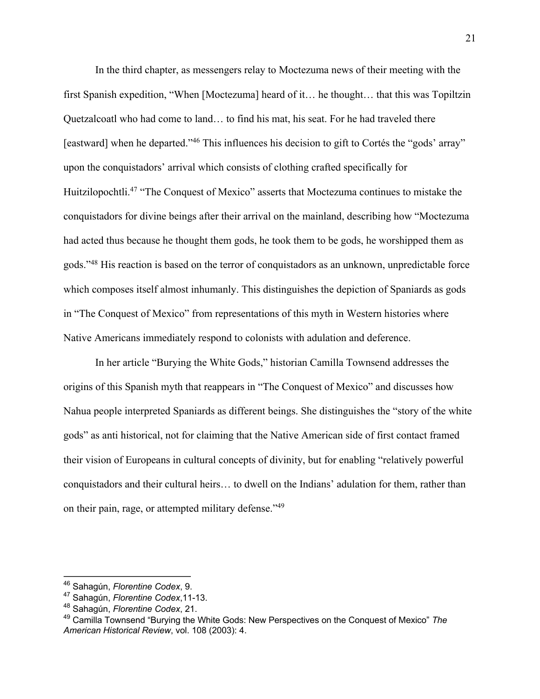In the third chapter, as messengers relay to Moctezuma news of their meeting with the first Spanish expedition, "When [Moctezuma] heard of it… he thought… that this was Topiltzin Quetzalcoatl who had come to land… to find his mat, his seat. For he had traveled there [eastward] when he departed."<sup>46</sup> This influences his decision to gift to Cortés the "gods' array" upon the conquistadors' arrival which consists of clothing crafted specifically for Huitzilopochtli.<sup>47</sup> "The Conquest of Mexico" asserts that Moctezuma continues to mistake the conquistadors for divine beings after their arrival on the mainland, describing how "Moctezuma had acted thus because he thought them gods, he took them to be gods, he worshipped them as gods."48 His reaction is based on the terror of conquistadors as an unknown, unpredictable force which composes itself almost inhumanly. This distinguishes the depiction of Spaniards as gods in "The Conquest of Mexico" from representations of this myth in Western histories where Native Americans immediately respond to colonists with adulation and deference.

In her article "Burying the White Gods," historian Camilla Townsend addresses the origins of this Spanish myth that reappears in "The Conquest of Mexico" and discusses how Nahua people interpreted Spaniards as different beings. She distinguishes the "story of the white gods" as anti historical, not for claiming that the Native American side of first contact framed their vision of Europeans in cultural concepts of divinity, but for enabling "relatively powerful conquistadors and their cultural heirs… to dwell on the Indians' adulation for them, rather than on their pain, rage, or attempted military defense."49

<sup>46</sup> Sahagún, *Florentine Codex*, 9.

<sup>47</sup> Sahagún, *Florentine Codex*,11-13.

<sup>48</sup> Sahagún, *Florentine Codex*, 21.

<sup>49</sup> Camilla Townsend "Burying the White Gods: New Perspectives on the Conquest of Mexico" *The American Historical Review*, vol. 108 (2003): 4.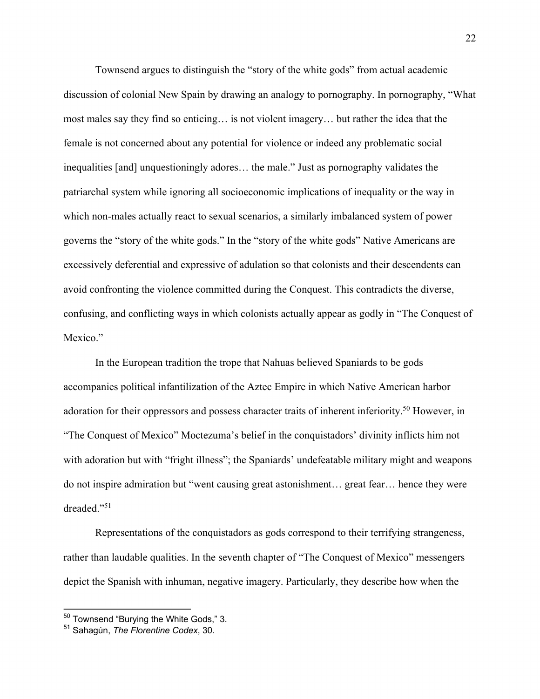Townsend argues to distinguish the "story of the white gods" from actual academic discussion of colonial New Spain by drawing an analogy to pornography. In pornography, "What most males say they find so enticing… is not violent imagery… but rather the idea that the female is not concerned about any potential for violence or indeed any problematic social inequalities [and] unquestioningly adores… the male." Just as pornography validates the patriarchal system while ignoring all socioeconomic implications of inequality or the way in which non-males actually react to sexual scenarios, a similarly imbalanced system of power governs the "story of the white gods." In the "story of the white gods" Native Americans are excessively deferential and expressive of adulation so that colonists and their descendents can avoid confronting the violence committed during the Conquest. This contradicts the diverse, confusing, and conflicting ways in which colonists actually appear as godly in "The Conquest of Mexico."

In the European tradition the trope that Nahuas believed Spaniards to be gods accompanies political infantilization of the Aztec Empire in which Native American harbor adoration for their oppressors and possess character traits of inherent inferiority.<sup>50</sup> However, in "The Conquest of Mexico" Moctezuma's belief in the conquistadors' divinity inflicts him not with adoration but with "fright illness"; the Spaniards' undefeatable military might and weapons do not inspire admiration but "went causing great astonishment… great fear… hence they were dreaded."51

Representations of the conquistadors as gods correspond to their terrifying strangeness, rather than laudable qualities. In the seventh chapter of "The Conquest of Mexico" messengers depict the Spanish with inhuman, negative imagery. Particularly, they describe how when the

<sup>50</sup> Townsend "Burying the White Gods," 3.

<sup>51</sup> Sahagún, *The Florentine Codex*, 30.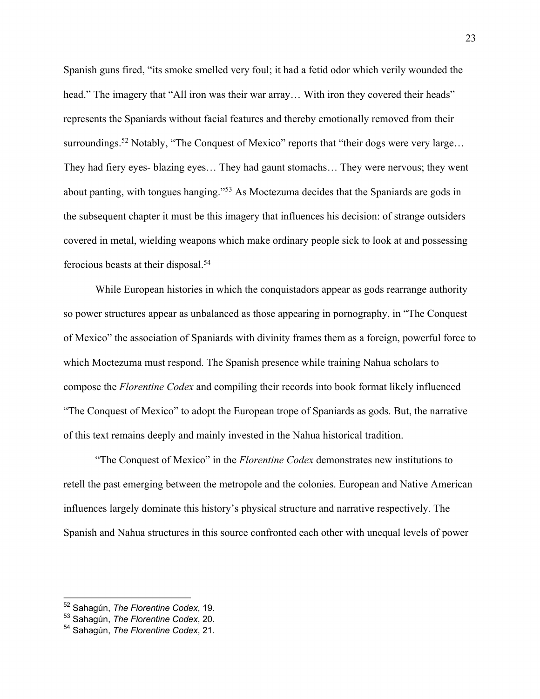Spanish guns fired, "its smoke smelled very foul; it had a fetid odor which verily wounded the head." The imagery that "All iron was their war array... With iron they covered their heads" represents the Spaniards without facial features and thereby emotionally removed from their surroundings.<sup>52</sup> Notably, "The Conquest of Mexico" reports that "their dogs were very large... They had fiery eyes- blazing eyes… They had gaunt stomachs… They were nervous; they went about panting, with tongues hanging."53 As Moctezuma decides that the Spaniards are gods in the subsequent chapter it must be this imagery that influences his decision: of strange outsiders covered in metal, wielding weapons which make ordinary people sick to look at and possessing ferocious beasts at their disposal.54

While European histories in which the conquistadors appear as gods rearrange authority so power structures appear as unbalanced as those appearing in pornography, in "The Conquest of Mexico" the association of Spaniards with divinity frames them as a foreign, powerful force to which Moctezuma must respond. The Spanish presence while training Nahua scholars to compose the *Florentine Codex* and compiling their records into book format likely influenced "The Conquest of Mexico" to adopt the European trope of Spaniards as gods. But, the narrative of this text remains deeply and mainly invested in the Nahua historical tradition.

 "The Conquest of Mexico" in the *Florentine Codex* demonstrates new institutions to retell the past emerging between the metropole and the colonies. European and Native American influences largely dominate this history's physical structure and narrative respectively. The Spanish and Nahua structures in this source confronted each other with unequal levels of power

<sup>52</sup> Sahagún, *The Florentine Codex*, 19.

<sup>53</sup> Sahagún, *The Florentine Codex*, 20.

<sup>54</sup> Sahagún, *The Florentine Codex*, 21.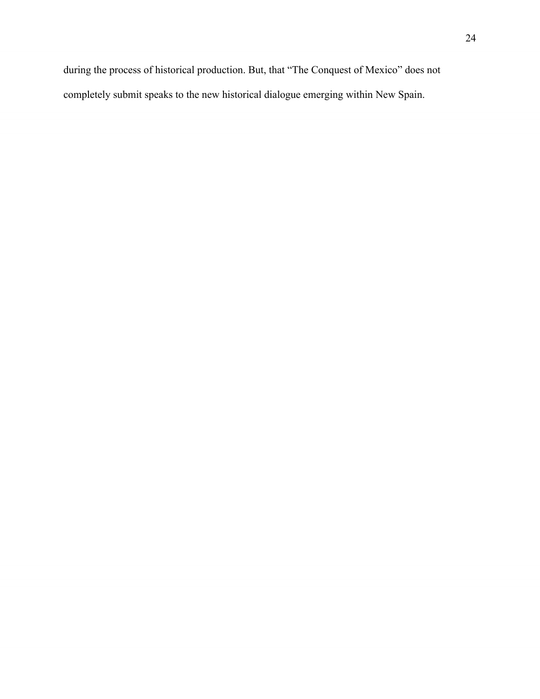during the process of historical production. But, that "The Conquest of Mexico" does not completely submit speaks to the new historical dialogue emerging within New Spain.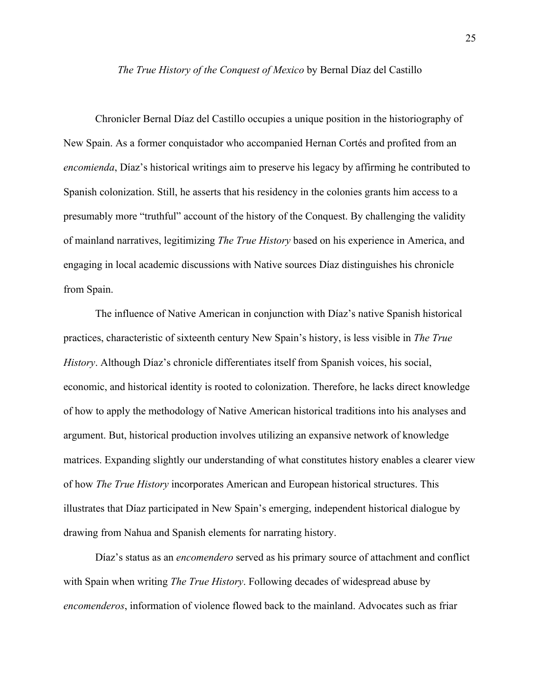#### *The True History of the Conquest of Mexico* by Bernal Díaz del Castillo

Chronicler Bernal Díaz del Castillo occupies a unique position in the historiography of New Spain. As a former conquistador who accompanied Hernan Cortés and profited from an *encomienda*, Díaz's historical writings aim to preserve his legacy by affirming he contributed to Spanish colonization. Still, he asserts that his residency in the colonies grants him access to a presumably more "truthful" account of the history of the Conquest. By challenging the validity of mainland narratives, legitimizing *The True History* based on his experience in America, and engaging in local academic discussions with Native sources Díaz distinguishes his chronicle from Spain.

The influence of Native American in conjunction with Díaz's native Spanish historical practices, characteristic of sixteenth century New Spain's history, is less visible in *The True History*. Although Díaz's chronicle differentiates itself from Spanish voices, his social, economic, and historical identity is rooted to colonization. Therefore, he lacks direct knowledge of how to apply the methodology of Native American historical traditions into his analyses and argument. But, historical production involves utilizing an expansive network of knowledge matrices. Expanding slightly our understanding of what constitutes history enables a clearer view of how *The True History* incorporates American and European historical structures. This illustrates that Díaz participated in New Spain's emerging, independent historical dialogue by drawing from Nahua and Spanish elements for narrating history.

Díaz's status as an *encomendero* served as his primary source of attachment and conflict with Spain when writing *The True History*. Following decades of widespread abuse by *encomenderos*, information of violence flowed back to the mainland. Advocates such as friar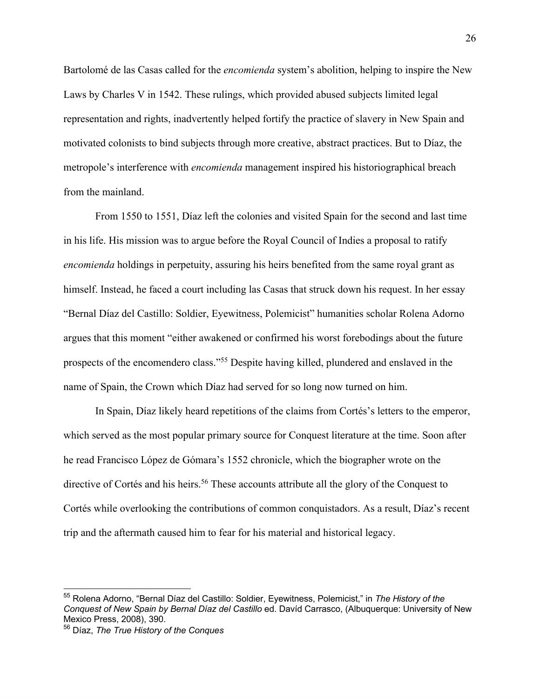Bartolomé de las Casas called for the *encomienda* system's abolition, helping to inspire the New Laws by Charles V in 1542. These rulings, which provided abused subjects limited legal representation and rights, inadvertently helped fortify the practice of slavery in New Spain and motivated colonists to bind subjects through more creative, abstract practices. But to Díaz, the metropole's interference with *encomienda* management inspired his historiographical breach from the mainland.

From 1550 to 1551, Díaz left the colonies and visited Spain for the second and last time in his life. His mission was to argue before the Royal Council of Indies a proposal to ratify *encomienda* holdings in perpetuity, assuring his heirs benefited from the same royal grant as himself. Instead, he faced a court including las Casas that struck down his request. In her essay "Bernal Díaz del Castillo: Soldier, Eyewitness, Polemicist" humanities scholar Rolena Adorno argues that this moment "either awakened or confirmed his worst forebodings about the future prospects of the encomendero class."55 Despite having killed, plundered and enslaved in the name of Spain, the Crown which Díaz had served for so long now turned on him.

In Spain, Díaz likely heard repetitions of the claims from Cortés's letters to the emperor, which served as the most popular primary source for Conquest literature at the time. Soon after he read Francisco López de Gómara's 1552 chronicle, which the biographer wrote on the directive of Cortés and his heirs.<sup>56</sup> These accounts attribute all the glory of the Conquest to Cortés while overlooking the contributions of common conquistadors. As a result, Díaz's recent trip and the aftermath caused him to fear for his material and historical legacy.

<sup>55</sup> Rolena Adorno, "Bernal Díaz del Castillo: Soldier, Eyewitness, Polemicist," in *The History of the Conquest of New Spain by Bernal Díaz del Castillo* ed. Davíd Carrasco, (Albuquerque: University of New Mexico Press, 2008), 390.

<sup>56</sup> Díaz, *The True History of the Conques*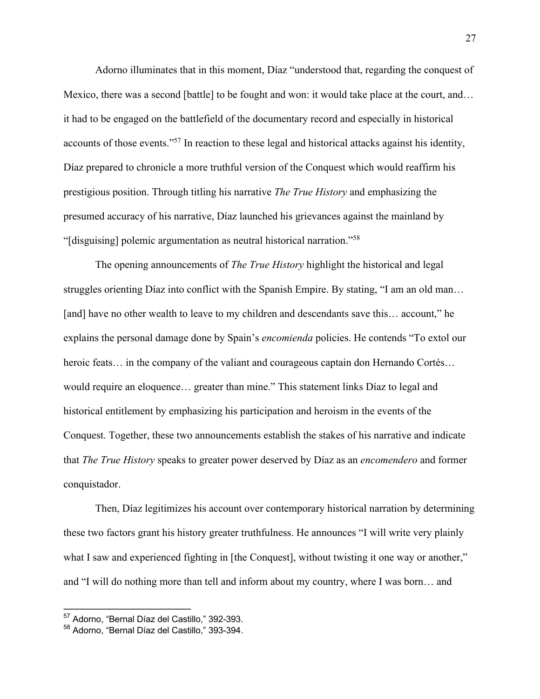Adorno illuminates that in this moment, Díaz "understood that, regarding the conquest of Mexico, there was a second [battle] to be fought and won: it would take place at the court, and… it had to be engaged on the battlefield of the documentary record and especially in historical accounts of those events."57 In reaction to these legal and historical attacks against his identity, Díaz prepared to chronicle a more truthful version of the Conquest which would reaffirm his prestigious position. Through titling his narrative *The True History* and emphasizing the presumed accuracy of his narrative, Díaz launched his grievances against the mainland by "[disguising] polemic argumentation as neutral historical narration."58

The opening announcements of *The True History* highlight the historical and legal struggles orienting Díaz into conflict with the Spanish Empire. By stating, "I am an old man… [and] have no other wealth to leave to my children and descendants save this... account," he explains the personal damage done by Spain's *encomienda* policies. He contends "To extol our heroic feats… in the company of the valiant and courageous captain don Hernando Cortés… would require an eloquence… greater than mine." This statement links Díaz to legal and historical entitlement by emphasizing his participation and heroism in the events of the Conquest. Together, these two announcements establish the stakes of his narrative and indicate that *The True History* speaks to greater power deserved by Díaz as an *encomendero* and former conquistador.

Then, Díaz legitimizes his account over contemporary historical narration by determining these two factors grant his history greater truthfulness. He announces "I will write very plainly what I saw and experienced fighting in [the Conquest], without twisting it one way or another," and "I will do nothing more than tell and inform about my country, where I was born… and

<sup>57</sup> Adorno, "Bernal Díaz del Castillo," 392-393.

<sup>58</sup> Adorno, "Bernal Díaz del Castillo," 393-394.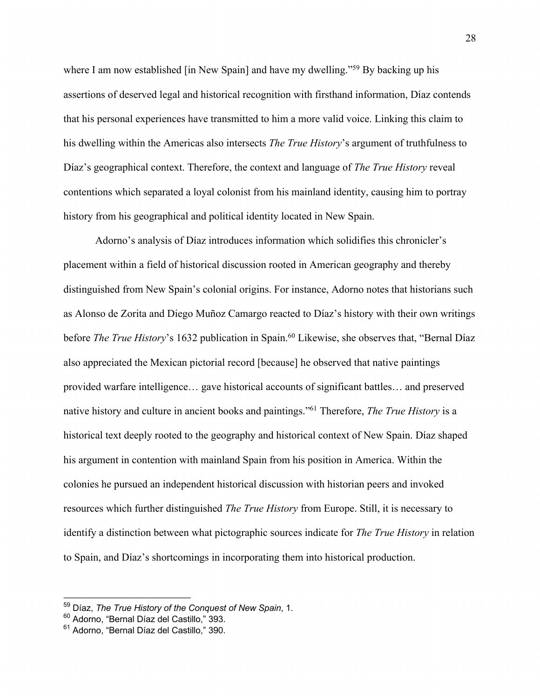where I am now established [in New Spain] and have my dwelling."<sup>59</sup> By backing up his assertions of deserved legal and historical recognition with firsthand information, Díaz contends that his personal experiences have transmitted to him a more valid voice. Linking this claim to his dwelling within the Americas also intersects *The True History*'s argument of truthfulness to Díaz's geographical context. Therefore, the context and language of *The True History* reveal contentions which separated a loyal colonist from his mainland identity, causing him to portray history from his geographical and political identity located in New Spain.

 Adorno's analysis of Díaz introduces information which solidifies this chronicler's placement within a field of historical discussion rooted in American geography and thereby distinguished from New Spain's colonial origins. For instance, Adorno notes that historians such as Alonso de Zorita and Diego Muñoz Camargo reacted to Díaz's history with their own writings before *The True History*'s 1632 publication in Spain.<sup>60</sup> Likewise, she observes that, "Bernal Díaz also appreciated the Mexican pictorial record [because] he observed that native paintings provided warfare intelligence… gave historical accounts of significant battles… and preserved native history and culture in ancient books and paintings."61 Therefore, *The True History* is a historical text deeply rooted to the geography and historical context of New Spain. Díaz shaped his argument in contention with mainland Spain from his position in America. Within the colonies he pursued an independent historical discussion with historian peers and invoked resources which further distinguished *The True History* from Europe. Still, it is necessary to identify a distinction between what pictographic sources indicate for *The True History* in relation to Spain, and Díaz's shortcomings in incorporating them into historical production.

<sup>59</sup> Díaz, *The True History of the Conquest of New Spain*, 1.

<sup>60</sup> Adorno, "Bernal Díaz del Castillo," 393.

<sup>61</sup> Adorno, "Bernal Díaz del Castillo," 390.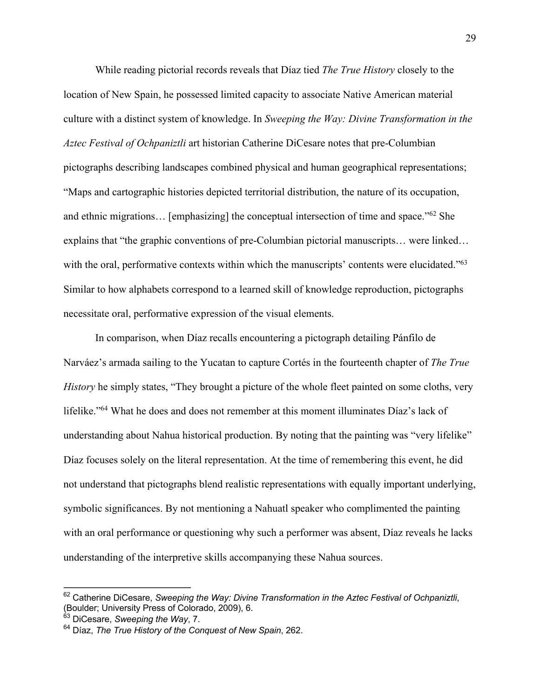While reading pictorial records reveals that Díaz tied *The True History* closely to the location of New Spain, he possessed limited capacity to associate Native American material culture with a distinct system of knowledge. In *Sweeping the Way: Divine Transformation in the Aztec Festival of Ochpaniztli* art historian Catherine DiCesare notes that pre-Columbian pictographs describing landscapes combined physical and human geographical representations; "Maps and cartographic histories depicted territorial distribution, the nature of its occupation, and ethnic migrations… [emphasizing] the conceptual intersection of time and space."62 She explains that "the graphic conventions of pre-Columbian pictorial manuscripts… were linked… with the oral, performative contexts within which the manuscripts' contents were elucidated."<sup>63</sup> Similar to how alphabets correspond to a learned skill of knowledge reproduction, pictographs necessitate oral, performative expression of the visual elements.

In comparison, when Díaz recalls encountering a pictograph detailing Pánfilo de Narváez's armada sailing to the Yucatan to capture Cortés in the fourteenth chapter of *The True History* he simply states, "They brought a picture of the whole fleet painted on some cloths, very lifelike."64 What he does and does not remember at this moment illuminates Díaz's lack of understanding about Nahua historical production. By noting that the painting was "very lifelike" Díaz focuses solely on the literal representation. At the time of remembering this event, he did not understand that pictographs blend realistic representations with equally important underlying, symbolic significances. By not mentioning a Nahuatl speaker who complimented the painting with an oral performance or questioning why such a performer was absent, Díaz reveals he lacks understanding of the interpretive skills accompanying these Nahua sources.

<sup>62</sup> Catherine DiCesare, *Sweeping the Way: Divine Transformation in the Aztec Festival of Ochpaniztli*, (Boulder; University Press of Colorado, 2009), 6.

<sup>63</sup> DiCesare, *Sweeping the Way*, 7.

<sup>64</sup> Díaz, *The True History of the Conquest of New Spain*, 262.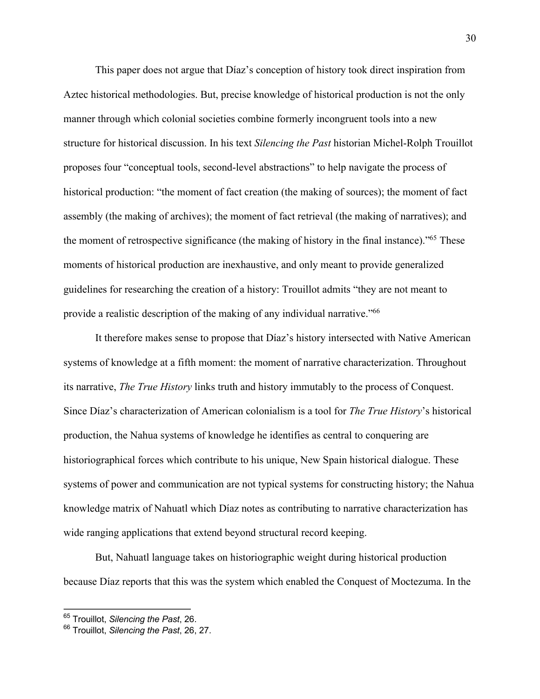This paper does not argue that Díaz's conception of history took direct inspiration from Aztec historical methodologies. But, precise knowledge of historical production is not the only manner through which colonial societies combine formerly incongruent tools into a new structure for historical discussion. In his text *Silencing the Past* historian Michel-Rolph Trouillot proposes four "conceptual tools, second-level abstractions" to help navigate the process of historical production: "the moment of fact creation (the making of sources); the moment of fact assembly (the making of archives); the moment of fact retrieval (the making of narratives); and the moment of retrospective significance (the making of history in the final instance)."65 These moments of historical production are inexhaustive, and only meant to provide generalized guidelines for researching the creation of a history: Trouillot admits "they are not meant to provide a realistic description of the making of any individual narrative."66

It therefore makes sense to propose that Díaz's history intersected with Native American systems of knowledge at a fifth moment: the moment of narrative characterization. Throughout its narrative, *The True History* links truth and history immutably to the process of Conquest. Since Díaz's characterization of American colonialism is a tool for *The True History*'s historical production, the Nahua systems of knowledge he identifies as central to conquering are historiographical forces which contribute to his unique, New Spain historical dialogue. These systems of power and communication are not typical systems for constructing history; the Nahua knowledge matrix of Nahuatl which Díaz notes as contributing to narrative characterization has wide ranging applications that extend beyond structural record keeping.

But, Nahuatl language takes on historiographic weight during historical production because Díaz reports that this was the system which enabled the Conquest of Moctezuma. In the

<sup>65</sup> Trouillot, *Silencing the Past*, 26.

<sup>66</sup> Trouillot, *Silencing the Past*, 26, 27.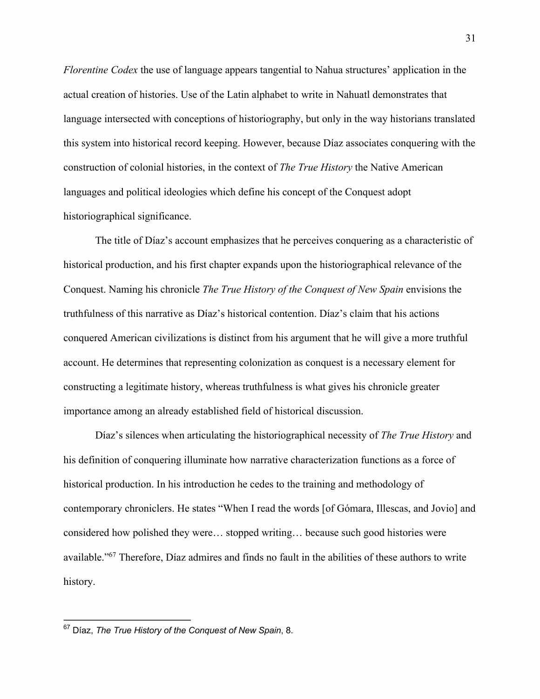*Florentine Codex* the use of language appears tangential to Nahua structures' application in the actual creation of histories. Use of the Latin alphabet to write in Nahuatl demonstrates that language intersected with conceptions of historiography, but only in the way historians translated this system into historical record keeping. However, because Díaz associates conquering with the construction of colonial histories, in the context of *The True History* the Native American languages and political ideologies which define his concept of the Conquest adopt historiographical significance.

The title of Díaz's account emphasizes that he perceives conquering as a characteristic of historical production, and his first chapter expands upon the historiographical relevance of the Conquest. Naming his chronicle *The True History of the Conquest of New Spain* envisions the truthfulness of this narrative as Díaz's historical contention. Díaz's claim that his actions conquered American civilizations is distinct from his argument that he will give a more truthful account. He determines that representing colonization as conquest is a necessary element for constructing a legitimate history, whereas truthfulness is what gives his chronicle greater importance among an already established field of historical discussion.

Díaz's silences when articulating the historiographical necessity of *The True History* and his definition of conquering illuminate how narrative characterization functions as a force of historical production. In his introduction he cedes to the training and methodology of contemporary chroniclers. He states "When I read the words [of Gómara, Illescas, and Jovio] and considered how polished they were… stopped writing… because such good histories were available."67 Therefore, Díaz admires and finds no fault in the abilities of these authors to write history.

<sup>67</sup> Díaz, *The True History of the Conquest of New Spain*, 8.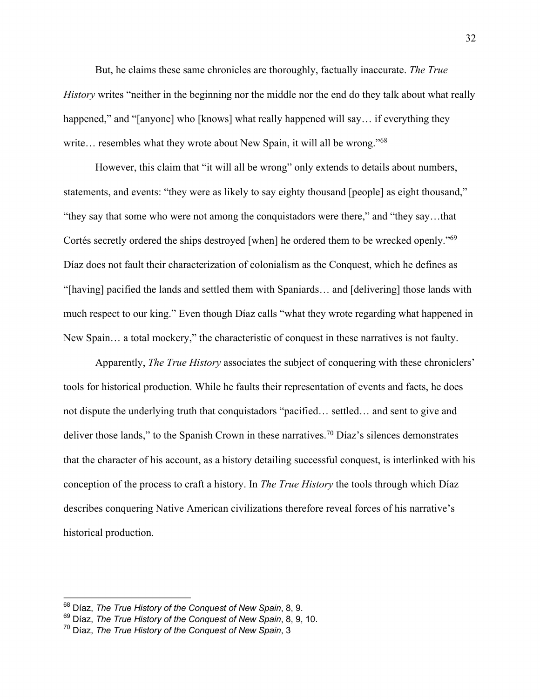But, he claims these same chronicles are thoroughly, factually inaccurate. *The True History* writes "neither in the beginning nor the middle nor the end do they talk about what really happened," and "[anyone] who [knows] what really happened will say... if everything they write... resembles what they wrote about New Spain, it will all be wrong."<sup>68</sup>

However, this claim that "it will all be wrong" only extends to details about numbers, statements, and events: "they were as likely to say eighty thousand [people] as eight thousand," "they say that some who were not among the conquistadors were there," and "they say…that Cortés secretly ordered the ships destroyed [when] he ordered them to be wrecked openly."69 Díaz does not fault their characterization of colonialism as the Conquest, which he defines as "[having] pacified the lands and settled them with Spaniards… and [delivering] those lands with much respect to our king." Even though Díaz calls "what they wrote regarding what happened in New Spain… a total mockery," the characteristic of conquest in these narratives is not faulty.

Apparently, *The True History* associates the subject of conquering with these chroniclers' tools for historical production. While he faults their representation of events and facts, he does not dispute the underlying truth that conquistadors "pacified… settled… and sent to give and deliver those lands," to the Spanish Crown in these narratives.<sup>70</sup> Díaz's silences demonstrates that the character of his account, as a history detailing successful conquest, is interlinked with his conception of the process to craft a history. In *The True History* the tools through which Díaz describes conquering Native American civilizations therefore reveal forces of his narrative's historical production.

<sup>68</sup> Díaz, *The True History of the Conquest of New Spain*, 8, 9.

<sup>69</sup> Díaz, *The True History of the Conquest of New Spain*, 8, 9, 10.

<sup>70</sup> Díaz, *The True History of the Conquest of New Spain*, 3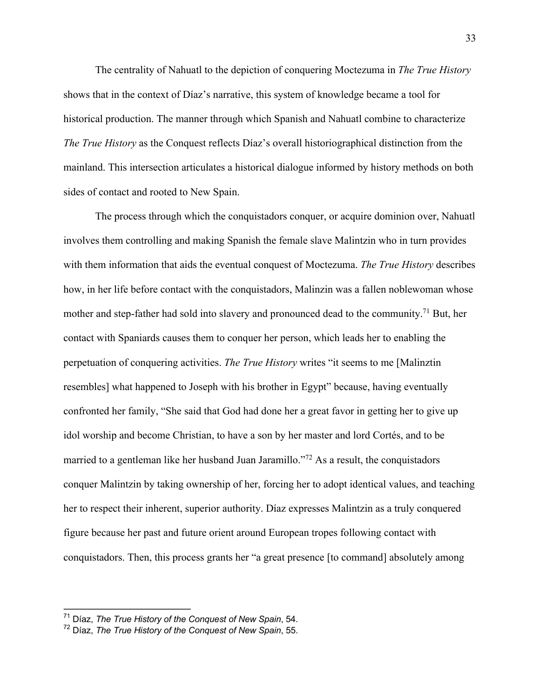The centrality of Nahuatl to the depiction of conquering Moctezuma in *The True History* shows that in the context of Díaz's narrative, this system of knowledge became a tool for historical production. The manner through which Spanish and Nahuatl combine to characterize *The True History* as the Conquest reflects Díaz's overall historiographical distinction from the mainland. This intersection articulates a historical dialogue informed by history methods on both sides of contact and rooted to New Spain.

The process through which the conquistadors conquer, or acquire dominion over, Nahuatl involves them controlling and making Spanish the female slave Malintzin who in turn provides with them information that aids the eventual conquest of Moctezuma. *The True History* describes how, in her life before contact with the conquistadors, Malinzin was a fallen noblewoman whose mother and step-father had sold into slavery and pronounced dead to the community.<sup>71</sup> But, her contact with Spaniards causes them to conquer her person, which leads her to enabling the perpetuation of conquering activities. *The True History* writes "it seems to me [Malinztin resembles] what happened to Joseph with his brother in Egypt" because, having eventually confronted her family, "She said that God had done her a great favor in getting her to give up idol worship and become Christian, to have a son by her master and lord Cortés, and to be married to a gentleman like her husband Juan Jaramillo."72 As a result, the conquistadors conquer Malintzin by taking ownership of her, forcing her to adopt identical values, and teaching her to respect their inherent, superior authority. Díaz expresses Malintzin as a truly conquered figure because her past and future orient around European tropes following contact with conquistadors. Then, this process grants her "a great presence [to command] absolutely among

<sup>71</sup> Díaz, *The True History of the Conquest of New Spain*, 54.

<sup>72</sup> Díaz, *The True History of the Conquest of New Spain*, 55.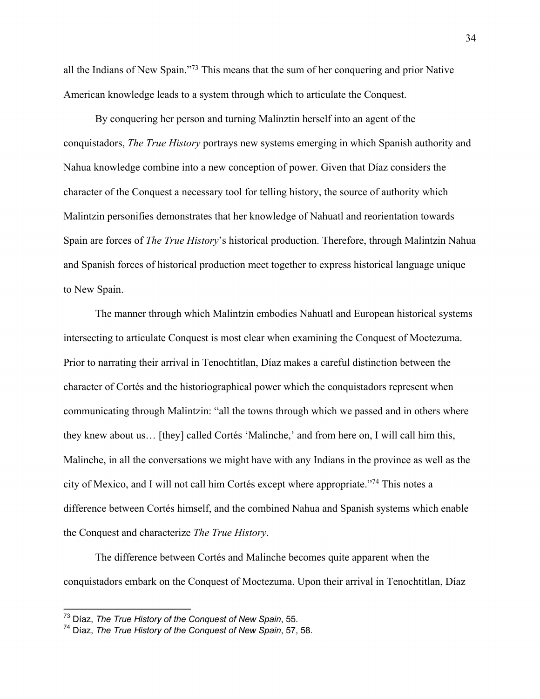all the Indians of New Spain."73 This means that the sum of her conquering and prior Native American knowledge leads to a system through which to articulate the Conquest.

By conquering her person and turning Malinztin herself into an agent of the conquistadors, *The True History* portrays new systems emerging in which Spanish authority and Nahua knowledge combine into a new conception of power. Given that Díaz considers the character of the Conquest a necessary tool for telling history, the source of authority which Malintzin personifies demonstrates that her knowledge of Nahuatl and reorientation towards Spain are forces of *The True History*'s historical production. Therefore, through Malintzin Nahua and Spanish forces of historical production meet together to express historical language unique to New Spain.

The manner through which Malintzin embodies Nahuatl and European historical systems intersecting to articulate Conquest is most clear when examining the Conquest of Moctezuma. Prior to narrating their arrival in Tenochtitlan, Díaz makes a careful distinction between the character of Cortés and the historiographical power which the conquistadors represent when communicating through Malintzin: "all the towns through which we passed and in others where they knew about us… [they] called Cortés 'Malinche,' and from here on, I will call him this, Malinche, in all the conversations we might have with any Indians in the province as well as the city of Mexico, and I will not call him Cortés except where appropriate."74 This notes a difference between Cortés himself, and the combined Nahua and Spanish systems which enable the Conquest and characterize *The True History*.

The difference between Cortés and Malinche becomes quite apparent when the conquistadors embark on the Conquest of Moctezuma. Upon their arrival in Tenochtitlan, Díaz

<sup>73</sup> Díaz, *The True History of the Conquest of New Spain*, 55.

<sup>74</sup> Díaz, *The True History of the Conquest of New Spain*, 57, 58.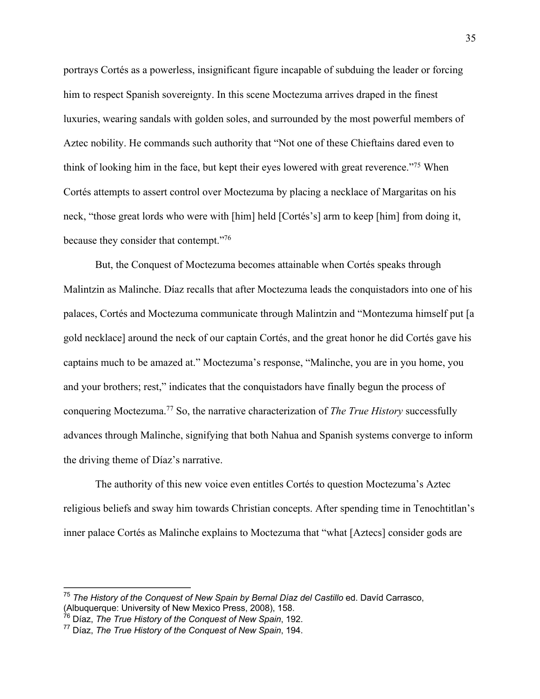portrays Cortés as a powerless, insignificant figure incapable of subduing the leader or forcing him to respect Spanish sovereignty. In this scene Moctezuma arrives draped in the finest luxuries, wearing sandals with golden soles, and surrounded by the most powerful members of Aztec nobility. He commands such authority that "Not one of these Chieftains dared even to think of looking him in the face, but kept their eyes lowered with great reverence."75 When Cortés attempts to assert control over Moctezuma by placing a necklace of Margaritas on his neck, "those great lords who were with [him] held [Cortés's] arm to keep [him] from doing it, because they consider that contempt."76

But, the Conquest of Moctezuma becomes attainable when Cortés speaks through Malintzin as Malinche. Díaz recalls that after Moctezuma leads the conquistadors into one of his palaces, Cortés and Moctezuma communicate through Malintzin and "Montezuma himself put [a gold necklace] around the neck of our captain Cortés, and the great honor he did Cortés gave his captains much to be amazed at." Moctezuma's response, "Malinche, you are in you home, you and your brothers; rest," indicates that the conquistadors have finally begun the process of conquering Moctezuma.77 So, the narrative characterization of *The True History* successfully advances through Malinche, signifying that both Nahua and Spanish systems converge to inform the driving theme of Díaz's narrative.

The authority of this new voice even entitles Cortés to question Moctezuma's Aztec religious beliefs and sway him towards Christian concepts. After spending time in Tenochtitlan's inner palace Cortés as Malinche explains to Moctezuma that "what [Aztecs] consider gods are

<sup>&</sup>lt;sup>75</sup> The History of the Conquest of New Spain by Bernal Díaz del Castillo ed. Davíd Carrasco, (Albuquerque: University of New Mexico Press, 2008), 158.

<sup>76</sup> Díaz, *The True History of the Conquest of New Spain*, 192.

<sup>77</sup> Díaz, *The True History of the Conquest of New Spain*, 194.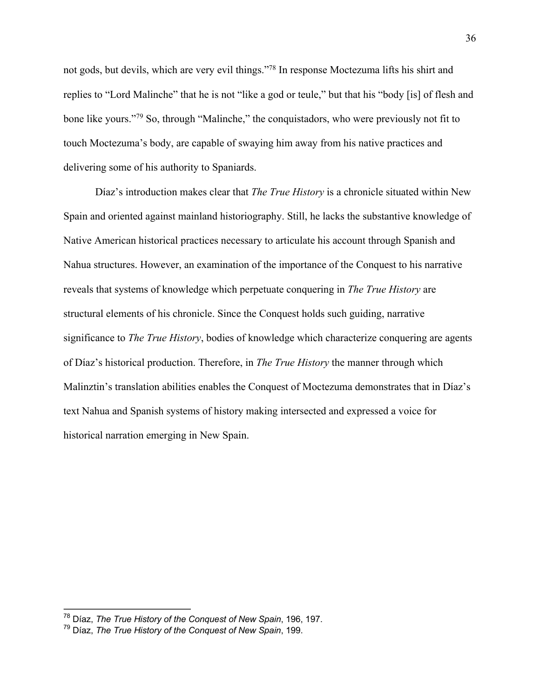not gods, but devils, which are very evil things."78 In response Moctezuma lifts his shirt and replies to "Lord Malinche" that he is not "like a god or teule," but that his "body [is] of flesh and bone like yours."<sup>79</sup> So, through "Malinche," the conquistadors, who were previously not fit to touch Moctezuma's body, are capable of swaying him away from his native practices and delivering some of his authority to Spaniards.

Díaz's introduction makes clear that *The True History* is a chronicle situated within New Spain and oriented against mainland historiography. Still, he lacks the substantive knowledge of Native American historical practices necessary to articulate his account through Spanish and Nahua structures. However, an examination of the importance of the Conquest to his narrative reveals that systems of knowledge which perpetuate conquering in *The True History* are structural elements of his chronicle. Since the Conquest holds such guiding, narrative significance to *The True History*, bodies of knowledge which characterize conquering are agents of Díaz's historical production. Therefore, in *The True History* the manner through which Malinztin's translation abilities enables the Conquest of Moctezuma demonstrates that in Díaz's text Nahua and Spanish systems of history making intersected and expressed a voice for historical narration emerging in New Spain.

<sup>78</sup> Díaz, *The True History of the Conquest of New Spain*, 196, 197.

<sup>79</sup> Díaz, *The True History of the Conquest of New Spain*, 199.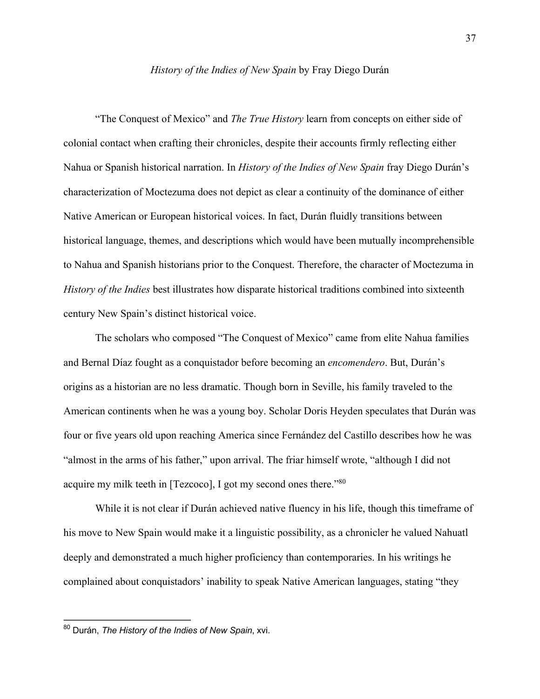### *History of the Indies of New Spain* by Fray Diego Durán

 "The Conquest of Mexico" and *The True History* learn from concepts on either side of colonial contact when crafting their chronicles, despite their accounts firmly reflecting either Nahua or Spanish historical narration. In *History of the Indies of New Spain* fray Diego Durán's characterization of Moctezuma does not depict as clear a continuity of the dominance of either Native American or European historical voices. In fact, Durán fluidly transitions between historical language, themes, and descriptions which would have been mutually incomprehensible to Nahua and Spanish historians prior to the Conquest. Therefore, the character of Moctezuma in *History of the Indies* best illustrates how disparate historical traditions combined into sixteenth century New Spain's distinct historical voice.

 The scholars who composed "The Conquest of Mexico" came from elite Nahua families and Bernal Díaz fought as a conquistador before becoming an *encomendero*. But, Durán's origins as a historian are no less dramatic. Though born in Seville, his family traveled to the American continents when he was a young boy. Scholar Doris Heyden speculates that Durán was four or five years old upon reaching America since Fernández del Castillo describes how he was "almost in the arms of his father," upon arrival. The friar himself wrote, "although I did not acquire my milk teeth in [Tezcoco], I got my second ones there."80

While it is not clear if Durán achieved native fluency in his life, though this time frame of his move to New Spain would make it a linguistic possibility, as a chronicler he valued Nahuatl deeply and demonstrated a much higher proficiency than contemporaries. In his writings he complained about conquistadors' inability to speak Native American languages, stating "they

<sup>80</sup> Durán, *The History of the Indies of New Spain*, xvi.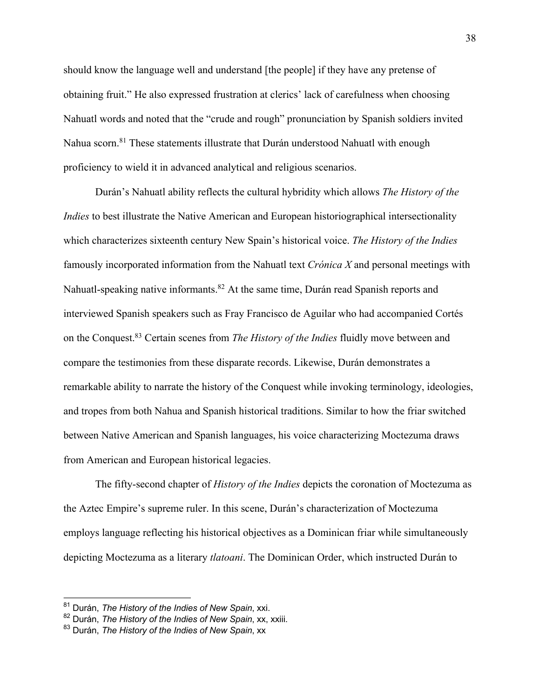should know the language well and understand [the people] if they have any pretense of obtaining fruit." He also expressed frustration at clerics' lack of carefulness when choosing Nahuatl words and noted that the "crude and rough" pronunciation by Spanish soldiers invited Nahua scorn.<sup>81</sup> These statements illustrate that Durán understood Nahuatl with enough proficiency to wield it in advanced analytical and religious scenarios.

Durán's Nahuatl ability reflects the cultural hybridity which allows *The History of the Indies* to best illustrate the Native American and European historiographical intersectionality which characterizes sixteenth century New Spain's historical voice. *The History of the Indies* famously incorporated information from the Nahuatl text *Crónica X* and personal meetings with Nahuatl-speaking native informants.<sup>82</sup> At the same time, Durán read Spanish reports and interviewed Spanish speakers such as Fray Francisco de Aguilar who had accompanied Cortés on the Conquest.83 Certain scenes from *The History of the Indies* fluidly move between and compare the testimonies from these disparate records. Likewise, Durán demonstrates a remarkable ability to narrate the history of the Conquest while invoking terminology, ideologies, and tropes from both Nahua and Spanish historical traditions. Similar to how the friar switched between Native American and Spanish languages, his voice characterizing Moctezuma draws from American and European historical legacies.

The fifty-second chapter of *History of the Indies* depicts the coronation of Moctezuma as the Aztec Empire's supreme ruler. In this scene, Durán's characterization of Moctezuma employs language reflecting his historical objectives as a Dominican friar while simultaneously depicting Moctezuma as a literary *tlatoani*. The Dominican Order, which instructed Durán to

<sup>81</sup> Durán, *The History of the Indies of New Spain*, xxi.

<sup>82</sup> Durán, *The History of the Indies of New Spain*, xx, xxiii.

<sup>83</sup> Durán, *The History of the Indies of New Spain*, xx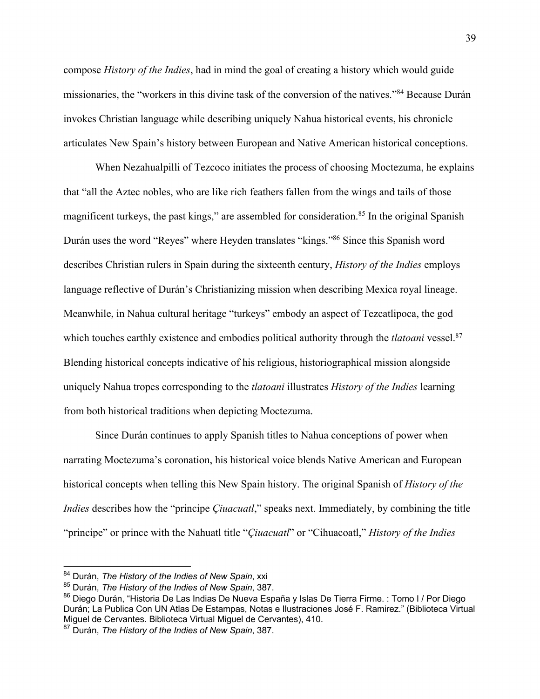compose *History of the Indies*, had in mind the goal of creating a history which would guide missionaries, the "workers in this divine task of the conversion of the natives."84 Because Durán invokes Christian language while describing uniquely Nahua historical events, his chronicle articulates New Spain's history between European and Native American historical conceptions.

When Nezahualpilli of Tezcoco initiates the process of choosing Moctezuma, he explains that "all the Aztec nobles, who are like rich feathers fallen from the wings and tails of those magnificent turkeys, the past kings," are assembled for consideration.<sup>85</sup> In the original Spanish Durán uses the word "Reyes" where Heyden translates "kings."86 Since this Spanish word describes Christian rulers in Spain during the sixteenth century, *History of the Indies* employs language reflective of Durán's Christianizing mission when describing Mexica royal lineage. Meanwhile, in Nahua cultural heritage "turkeys" embody an aspect of Tezcatlipoca, the god which touches earthly existence and embodies political authority through the *tlatoani* vessel.<sup>87</sup> Blending historical concepts indicative of his religious, historiographical mission alongside uniquely Nahua tropes corresponding to the *tlatoani* illustrates *History of the Indies* learning from both historical traditions when depicting Moctezuma.

Since Durán continues to apply Spanish titles to Nahua conceptions of power when narrating Moctezuma's coronation, his historical voice blends Native American and European historical concepts when telling this New Spain history. The original Spanish of *History of the Indies* describes how the "principe *Çiuacuatl*," speaks next. Immediately, by combining the title "principe" or prince with the Nahuatl title "*Çiuacuatl*" or "Cihuacoatl," *History of the Indies*

<sup>84</sup> Durán, *The History of the Indies of New Spain*, xxi

<sup>85</sup> Durán, *The History of the Indies of New Spain*, 387.

<sup>86</sup> Diego Durán, "Historia De Las Indias De Nueva España y Islas De Tierra Firme. : Tomo I / Por Diego Durán; La Publica Con UN Atlas De Estampas, Notas e Ilustraciones José F. Ramirez." (Biblioteca Virtual Miguel de Cervantes. Biblioteca Virtual Miguel de Cervantes), 410.

<sup>87</sup> Durán, *The History of the Indies of New Spain*, 387.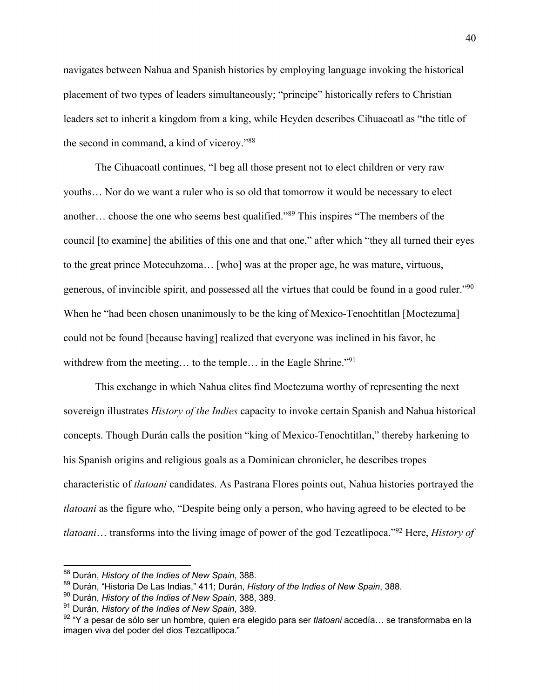navigates between Nahua and Spanish histories by employing language invoking the historical placement of two types of leaders simultaneously; "principe" historically refers to Christian leaders set to inherit a kingdom from a king, while Heyden describes Cihuacoatl as "the title of the second in command, a kind of viceroy."88

The Cihuacoatl continues, "I beg all those present not to elect children or very raw youths… Nor do we want a ruler who is so old that tomorrow it would be necessary to elect another… choose the one who seems best qualified."89 This inspires "The members of the council [to examine] the abilities of this one and that one," after which "they all turned their eyes to the great prince Motecuhzoma… [who] was at the proper age, he was mature, virtuous, generous, of invincible spirit, and possessed all the virtues that could be found in a good ruler."90 When he "had been chosen unanimously to be the king of Mexico-Tenochtitlan [Moctezuma] could not be found [because having] realized that everyone was inclined in his favor, he withdrew from the meeting... to the temple... in the Eagle Shrine."<sup>91</sup>

This exchange in which Nahua elites find Moctezuma worthy of representing the next sovereign illustrates *History of the Indies* capacity to invoke certain Spanish and Nahua historical concepts. Though Durán calls the position "king of Mexico-Tenochtitlan," thereby harkening to his Spanish origins and religious goals as a Dominican chronicler, he describes tropes characteristic of *tlatoani* candidates. As Pastrana Flores points out, Nahua histories portrayed the *tlatoani* as the figure who, "Despite being only a person, who having agreed to be elected to be *tlatoani*… transforms into the living image of power of the god Tezcatlipoca."92 Here, *History of* 

<sup>88</sup> Durán, *History of the Indies of New Spain*, 388.

<sup>89</sup> Durán, "Historia De Las Indias," 411; Durán, *History of the Indies of New Spain*, 388.

<sup>90</sup> Durán, *History of the Indies of New Spain*, 388, 389.

<sup>91</sup> Durán, *History of the Indies of New Spain*, 389.

<sup>92</sup> "Y a pesar de sólo ser un hombre, quien era elegido para ser *tlatoani* accedía… se transformaba en la imagen viva del poder del dios Tezcatlipoca."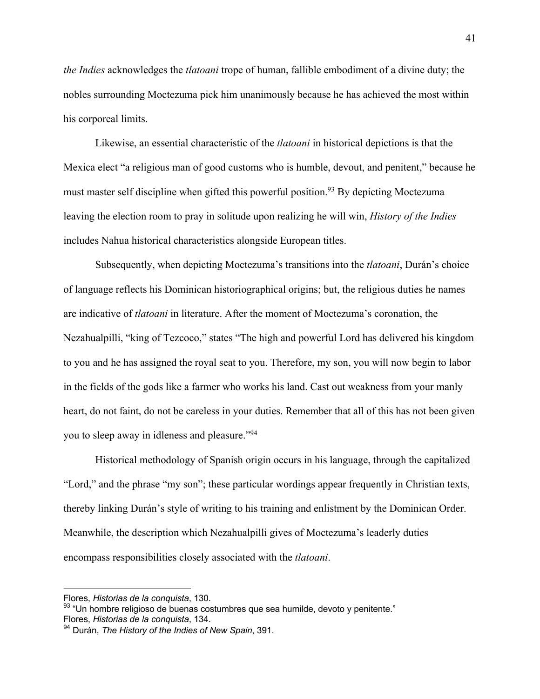*the Indies* acknowledges the *tlatoani* trope of human, fallible embodiment of a divine duty; the nobles surrounding Moctezuma pick him unanimously because he has achieved the most within his corporeal limits.

Likewise, an essential characteristic of the *tlatoani* in historical depictions is that the Mexica elect "a religious man of good customs who is humble, devout, and penitent," because he must master self discipline when gifted this powerful position.<sup>93</sup> By depicting Moctezuma leaving the election room to pray in solitude upon realizing he will win, *History of the Indies* includes Nahua historical characteristics alongside European titles.

Subsequently, when depicting Moctezuma's transitions into the *tlatoani*, Durán's choice of language reflects his Dominican historiographical origins; but, the religious duties he names are indicative of *tlatoani* in literature. After the moment of Moctezuma's coronation, the Nezahualpilli, "king of Tezcoco," states "The high and powerful Lord has delivered his kingdom to you and he has assigned the royal seat to you. Therefore, my son, you will now begin to labor in the fields of the gods like a farmer who works his land. Cast out weakness from your manly heart, do not faint, do not be careless in your duties. Remember that all of this has not been given you to sleep away in idleness and pleasure."94

Historical methodology of Spanish origin occurs in his language, through the capitalized "Lord," and the phrase "my son"; these particular wordings appear frequently in Christian texts, thereby linking Durán's style of writing to his training and enlistment by the Dominican Order. Meanwhile, the description which Nezahualpilli gives of Moctezuma's leaderly duties encompass responsibilities closely associated with the *tlatoani*.

Flores, *Historias de la conquista*, 130.

<sup>93 &</sup>quot;Un hombre religioso de buenas costumbres que sea humilde, devoto y penitente." Flores, *Historias de la conquista*, 134.

<sup>94</sup> Durán, *The History of the Indies of New Spain*, 391.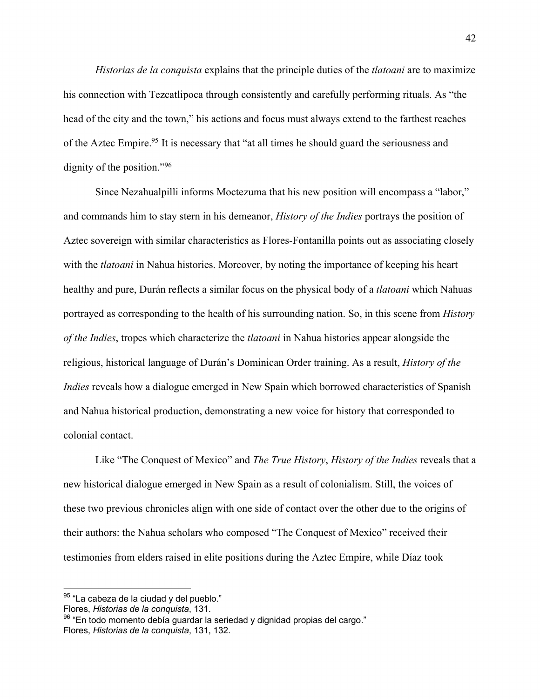*Historias de la conquista* explains that the principle duties of the *tlatoani* are to maximize his connection with Tezcatlipoca through consistently and carefully performing rituals. As "the head of the city and the town," his actions and focus must always extend to the farthest reaches of the Aztec Empire.<sup>95</sup> It is necessary that "at all times he should guard the seriousness and dignity of the position."96

Since Nezahualpilli informs Moctezuma that his new position will encompass a "labor," and commands him to stay stern in his demeanor, *History of the Indies* portrays the position of Aztec sovereign with similar characteristics as Flores-Fontanilla points out as associating closely with the *tlatoani* in Nahua histories. Moreover, by noting the importance of keeping his heart healthy and pure, Durán reflects a similar focus on the physical body of a *tlatoani* which Nahuas portrayed as corresponding to the health of his surrounding nation. So, in this scene from *History of the Indies*, tropes which characterize the *tlatoani* in Nahua histories appear alongside the religious, historical language of Durán's Dominican Order training. As a result, *History of the Indies* reveals how a dialogue emerged in New Spain which borrowed characteristics of Spanish and Nahua historical production, demonstrating a new voice for history that corresponded to colonial contact.

Like "The Conquest of Mexico" and *The True History*, *History of the Indies* reveals that a new historical dialogue emerged in New Spain as a result of colonialism. Still, the voices of these two previous chronicles align with one side of contact over the other due to the origins of their authors: the Nahua scholars who composed "The Conquest of Mexico" received their testimonies from elders raised in elite positions during the Aztec Empire, while Díaz took

<sup>&</sup>lt;sup>95</sup> "La cabeza de la ciudad y del pueblo."

Flores, *Historias de la conquista*, 131.

 $96$  "En todo momento debía guardar la seriedad y dignidad propias del cargo." Flores, *Historias de la conquista*, 131, 132.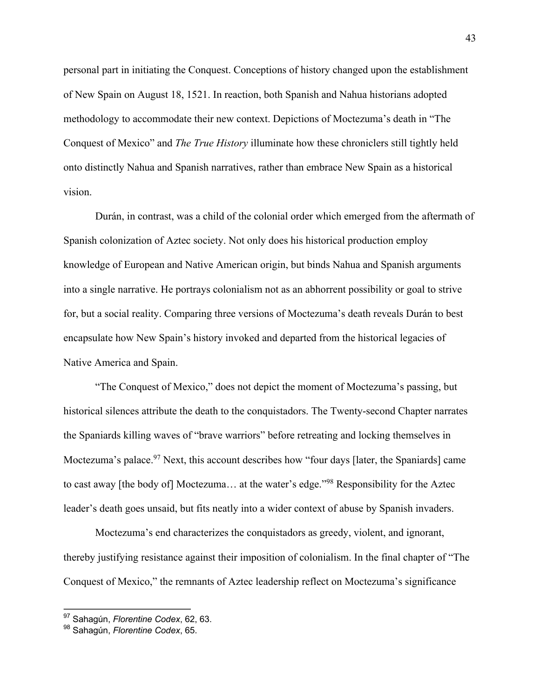personal part in initiating the Conquest. Conceptions of history changed upon the establishment of New Spain on August 18, 1521. In reaction, both Spanish and Nahua historians adopted methodology to accommodate their new context. Depictions of Moctezuma's death in "The Conquest of Mexico" and *The True History* illuminate how these chroniclers still tightly held onto distinctly Nahua and Spanish narratives, rather than embrace New Spain as a historical vision.

Durán, in contrast, was a child of the colonial order which emerged from the aftermath of Spanish colonization of Aztec society. Not only does his historical production employ knowledge of European and Native American origin, but binds Nahua and Spanish arguments into a single narrative. He portrays colonialism not as an abhorrent possibility or goal to strive for, but a social reality. Comparing three versions of Moctezuma's death reveals Durán to best encapsulate how New Spain's history invoked and departed from the historical legacies of Native America and Spain.

"The Conquest of Mexico," does not depict the moment of Moctezuma's passing, but historical silences attribute the death to the conquistadors. The Twenty-second Chapter narrates the Spaniards killing waves of "brave warriors" before retreating and locking themselves in Moctezuma's palace.<sup>97</sup> Next, this account describes how "four days [later, the Spaniards] came to cast away [the body of] Moctezuma… at the water's edge."98 Responsibility for the Aztec leader's death goes unsaid, but fits neatly into a wider context of abuse by Spanish invaders.

Moctezuma's end characterizes the conquistadors as greedy, violent, and ignorant, thereby justifying resistance against their imposition of colonialism. In the final chapter of "The Conquest of Mexico," the remnants of Aztec leadership reflect on Moctezuma's significance

<sup>97</sup> Sahagún, *Florentine Codex*, 62, 63.

<sup>98</sup> Sahagún, *Florentine Codex*, 65.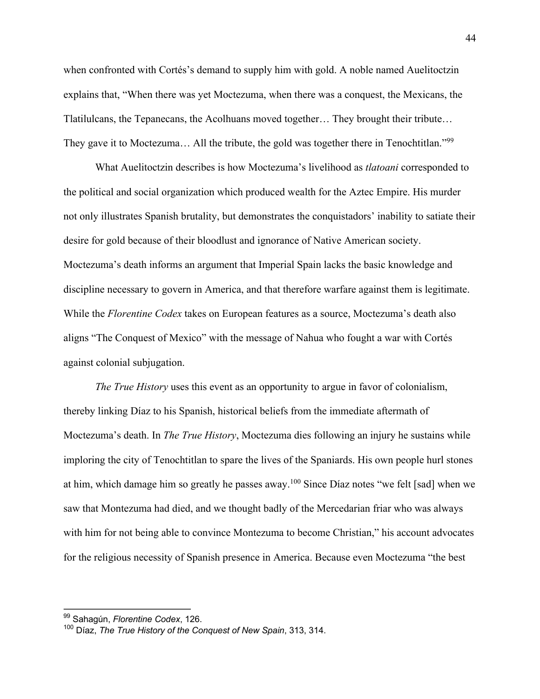when confronted with Cortés's demand to supply him with gold. A noble named Auelitoctzin explains that, "When there was yet Moctezuma, when there was a conquest, the Mexicans, the Tlatilulcans, the Tepanecans, the Acolhuans moved together… They brought their tribute… They gave it to Moctezuma... All the tribute, the gold was together there in Tenochtitlan."<sup>99</sup>

What Auelitoctzin describes is how Moctezuma's livelihood as *tlatoani* corresponded to the political and social organization which produced wealth for the Aztec Empire. His murder not only illustrates Spanish brutality, but demonstrates the conquistadors' inability to satiate their desire for gold because of their bloodlust and ignorance of Native American society. Moctezuma's death informs an argument that Imperial Spain lacks the basic knowledge and discipline necessary to govern in America, and that therefore warfare against them is legitimate. While the *Florentine Codex* takes on European features as a source, Moctezuma's death also aligns "The Conquest of Mexico" with the message of Nahua who fought a war with Cortés against colonial subjugation.

*The True History* uses this event as an opportunity to argue in favor of colonialism, thereby linking Díaz to his Spanish, historical beliefs from the immediate aftermath of Moctezuma's death. In *The True History*, Moctezuma dies following an injury he sustains while imploring the city of Tenochtitlan to spare the lives of the Spaniards. His own people hurl stones at him, which damage him so greatly he passes away.<sup>100</sup> Since Díaz notes "we felt [sad] when we saw that Montezuma had died, and we thought badly of the Mercedarian friar who was always with him for not being able to convince Montezuma to become Christian," his account advocates for the religious necessity of Spanish presence in America. Because even Moctezuma "the best

<sup>99</sup> Sahagún, *Florentine Codex*, 126.

<sup>100</sup> Díaz, *The True History of the Conquest of New Spain*, 313, 314.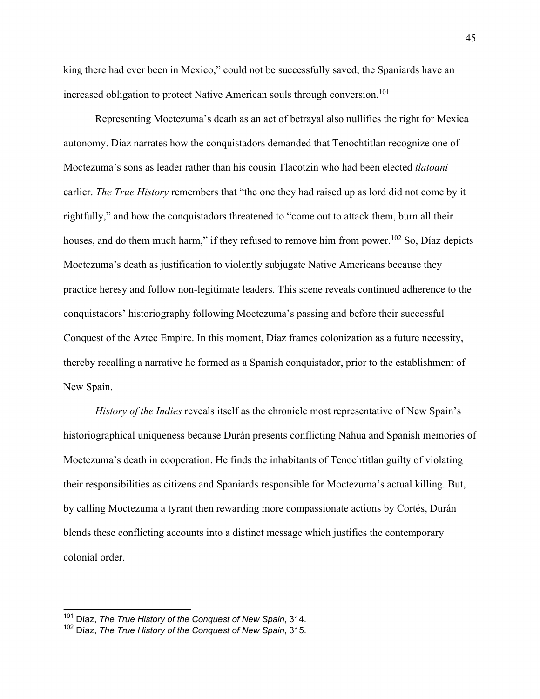king there had ever been in Mexico," could not be successfully saved, the Spaniards have an increased obligation to protect Native American souls through conversion.<sup>101</sup>

Representing Moctezuma's death as an act of betrayal also nullifies the right for Mexica autonomy. Díaz narrates how the conquistadors demanded that Tenochtitlan recognize one of Moctezuma's sons as leader rather than his cousin Tlacotzin who had been elected *tlatoani* earlier. *The True History* remembers that "the one they had raised up as lord did not come by it rightfully," and how the conquistadors threatened to "come out to attack them, burn all their houses, and do them much harm," if they refused to remove him from power.<sup>102</sup> So, Díaz depicts Moctezuma's death as justification to violently subjugate Native Americans because they practice heresy and follow non-legitimate leaders. This scene reveals continued adherence to the conquistadors' historiography following Moctezuma's passing and before their successful Conquest of the Aztec Empire. In this moment, Díaz frames colonization as a future necessity, thereby recalling a narrative he formed as a Spanish conquistador, prior to the establishment of New Spain.

*History of the Indies* reveals itself as the chronicle most representative of New Spain's historiographical uniqueness because Durán presents conflicting Nahua and Spanish memories of Moctezuma's death in cooperation. He finds the inhabitants of Tenochtitlan guilty of violating their responsibilities as citizens and Spaniards responsible for Moctezuma's actual killing. But, by calling Moctezuma a tyrant then rewarding more compassionate actions by Cortés, Durán blends these conflicting accounts into a distinct message which justifies the contemporary colonial order.

<sup>101</sup> Díaz, *The True History of the Conquest of New Spain*, 314.

<sup>102</sup> Díaz, *The True History of the Conquest of New Spain*, 315.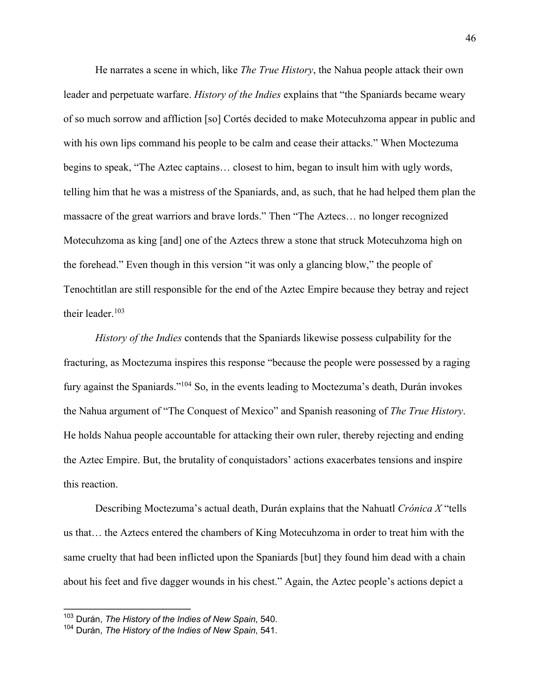He narrates a scene in which, like *The True History*, the Nahua people attack their own leader and perpetuate warfare. *History of the Indies* explains that "the Spaniards became weary of so much sorrow and affliction [so] Cortés decided to make Motecuhzoma appear in public and with his own lips command his people to be calm and cease their attacks." When Moctezuma begins to speak, "The Aztec captains… closest to him, began to insult him with ugly words, telling him that he was a mistress of the Spaniards, and, as such, that he had helped them plan the massacre of the great warriors and brave lords." Then "The Aztecs… no longer recognized Motecuhzoma as king [and] one of the Aztecs threw a stone that struck Motecuhzoma high on the forehead." Even though in this version "it was only a glancing blow," the people of Tenochtitlan are still responsible for the end of the Aztec Empire because they betray and reject their leader. $103$ 

*History of the Indies* contends that the Spaniards likewise possess culpability for the fracturing, as Moctezuma inspires this response "because the people were possessed by a raging fury against the Spaniards."104 So, in the events leading to Moctezuma's death, Durán invokes the Nahua argument of "The Conquest of Mexico" and Spanish reasoning of *The True History*. He holds Nahua people accountable for attacking their own ruler, thereby rejecting and ending the Aztec Empire. But, the brutality of conquistadors' actions exacerbates tensions and inspire this reaction.

Describing Moctezuma's actual death, Durán explains that the Nahuatl *Crónica X* "tells us that… the Aztecs entered the chambers of King Motecuhzoma in order to treat him with the same cruelty that had been inflicted upon the Spaniards [but] they found him dead with a chain about his feet and five dagger wounds in his chest." Again, the Aztec people's actions depict a

<sup>103</sup> Durán, *The History of the Indies of New Spain*, 540.

<sup>104</sup> Durán, *The History of the Indies of New Spain*, 541.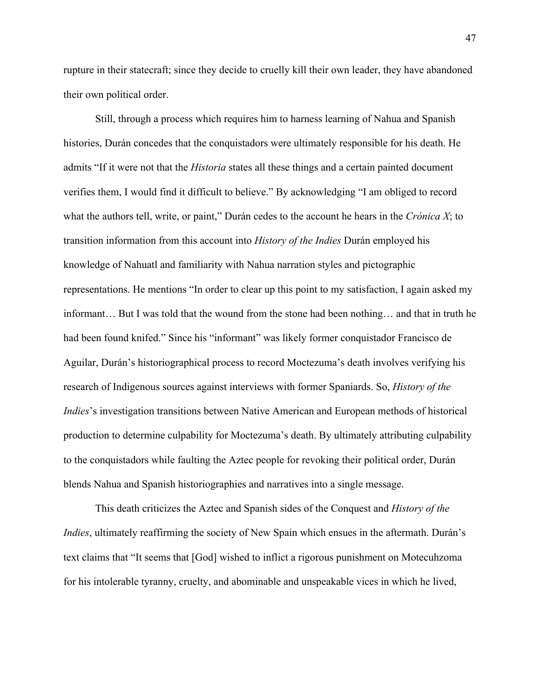rupture in their statecraft; since they decide to cruelly kill their own leader, they have abandoned their own political order.

Still, through a process which requires him to harness learning of Nahua and Spanish histories, Durán concedes that the conquistadors were ultimately responsible for his death. He admits "If it were not that the *Historia* states all these things and a certain painted document verifies them, I would find it difficult to believe." By acknowledging "I am obliged to record what the authors tell, write, or paint," Durán cedes to the account he hears in the *Crónica X*; to transition information from this account into *History of the Indies* Durán employed his knowledge of Nahuatl and familiarity with Nahua narration styles and pictographic representations. He mentions "In order to clear up this point to my satisfaction, I again asked my informant… But I was told that the wound from the stone had been nothing… and that in truth he had been found knifed." Since his "informant" was likely former conquistador Francisco de Aguilar, Durán's historiographical process to record Moctezuma's death involves verifying his research of Indigenous sources against interviews with former Spaniards. So, *History of the Indies*'s investigation transitions between Native American and European methods of historical production to determine culpability for Moctezuma's death. By ultimately attributing culpability to the conquistadors while faulting the Aztec people for revoking their political order, Durán blends Nahua and Spanish historiographies and narratives into a single message.

This death criticizes the Aztec and Spanish sides of the Conquest and *History of the Indies*, ultimately reaffirming the society of New Spain which ensues in the aftermath. Durán's text claims that "It seems that [God] wished to inflict a rigorous punishment on Motecuhzoma for his intolerable tyranny, cruelty, and abominable and unspeakable vices in which he lived,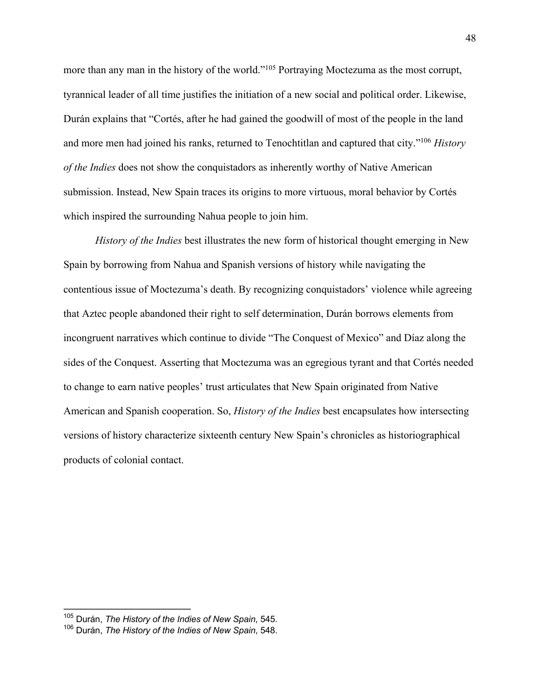more than any man in the history of the world."105 Portraying Moctezuma as the most corrupt, tyrannical leader of all time justifies the initiation of a new social and political order. Likewise, Durán explains that "Cortés, after he had gained the goodwill of most of the people in the land and more men had joined his ranks, returned to Tenochtitlan and captured that city."106 *History of the Indies* does not show the conquistadors as inherently worthy of Native American submission. Instead, New Spain traces its origins to more virtuous, moral behavior by Cortés which inspired the surrounding Nahua people to join him.

*History of the Indies* best illustrates the new form of historical thought emerging in New Spain by borrowing from Nahua and Spanish versions of history while navigating the contentious issue of Moctezuma's death. By recognizing conquistadors' violence while agreeing that Aztec people abandoned their right to self determination, Durán borrows elements from incongruent narratives which continue to divide "The Conquest of Mexico" and Díaz along the sides of the Conquest. Asserting that Moctezuma was an egregious tyrant and that Cortés needed to change to earn native peoples' trust articulates that New Spain originated from Native American and Spanish cooperation. So, *History of the Indies* best encapsulates how intersecting versions of history characterize sixteenth century New Spain's chronicles as historiographical products of colonial contact.

<sup>105</sup> Durán, *The History of the Indies of New Spain*, 545.

<sup>106</sup> Durán, *The History of the Indies of New Spain*, 548.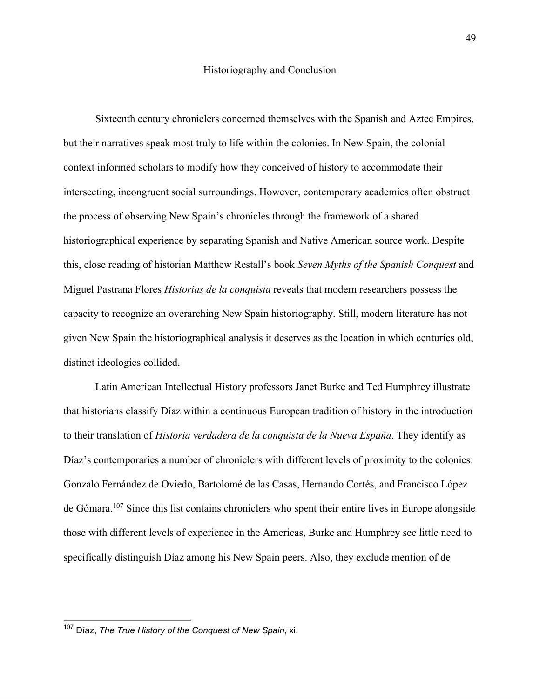Sixteenth century chroniclers concerned themselves with the Spanish and Aztec Empires, but their narratives speak most truly to life within the colonies. In New Spain, the colonial context informed scholars to modify how they conceived of history to accommodate their intersecting, incongruent social surroundings. However, contemporary academics often obstruct the process of observing New Spain's chronicles through the framework of a shared historiographical experience by separating Spanish and Native American source work. Despite this, close reading of historian Matthew Restall's book *Seven Myths of the Spanish Conquest* and Miguel Pastrana Flores *Historias de la conquista* reveals that modern researchers possess the capacity to recognize an overarching New Spain historiography. Still, modern literature has not given New Spain the historiographical analysis it deserves as the location in which centuries old, distinct ideologies collided.

Latin American Intellectual History professors Janet Burke and Ted Humphrey illustrate that historians classify Díaz within a continuous European tradition of history in the introduction to their translation of *Historia verdadera de la conquista de la Nueva España*. They identify as Díaz's contemporaries a number of chroniclers with different levels of proximity to the colonies: Gonzalo Fernández de Oviedo, Bartolomé de las Casas, Hernando Cortés, and Francisco López de Gómara.107 Since this list contains chroniclers who spent their entire lives in Europe alongside those with different levels of experience in the Americas, Burke and Humphrey see little need to specifically distinguish Díaz among his New Spain peers. Also, they exclude mention of de

<sup>107</sup> Díaz, *The True History of the Conquest of New Spain*, xi.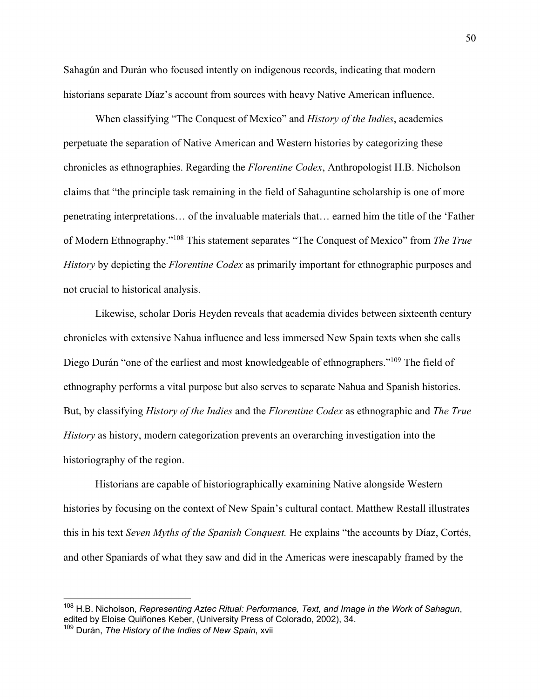Sahagún and Durán who focused intently on indigenous records, indicating that modern historians separate Díaz's account from sources with heavy Native American influence.

When classifying "The Conquest of Mexico" and *History of the Indies*, academics perpetuate the separation of Native American and Western histories by categorizing these chronicles as ethnographies. Regarding the *Florentine Codex*, Anthropologist H.B. Nicholson claims that "the principle task remaining in the field of Sahaguntine scholarship is one of more penetrating interpretations… of the invaluable materials that… earned him the title of the 'Father of Modern Ethnography."108 This statement separates "The Conquest of Mexico" from *The True History* by depicting the *Florentine Codex* as primarily important for ethnographic purposes and not crucial to historical analysis.

Likewise, scholar Doris Heyden reveals that academia divides between sixteenth century chronicles with extensive Nahua influence and less immersed New Spain texts when she calls Diego Durán "one of the earliest and most knowledgeable of ethnographers."<sup>109</sup> The field of ethnography performs a vital purpose but also serves to separate Nahua and Spanish histories. But, by classifying *History of the Indies* and the *Florentine Codex* as ethnographic and *The True History* as history, modern categorization prevents an overarching investigation into the historiography of the region.

Historians are capable of historiographically examining Native alongside Western histories by focusing on the context of New Spain's cultural contact. Matthew Restall illustrates this in his text *Seven Myths of the Spanish Conquest.* He explains "the accounts by Díaz, Cortés, and other Spaniards of what they saw and did in the Americas were inescapably framed by the

<sup>108</sup> H.B. Nicholson, *Representing Aztec Ritual: Performance, Text, and Image in the Work of Sahagun*, edited by Eloise Quiñones Keber, (University Press of Colorado, 2002), 34.

<sup>109</sup> Durán, *The History of the Indies of New Spain*, xvii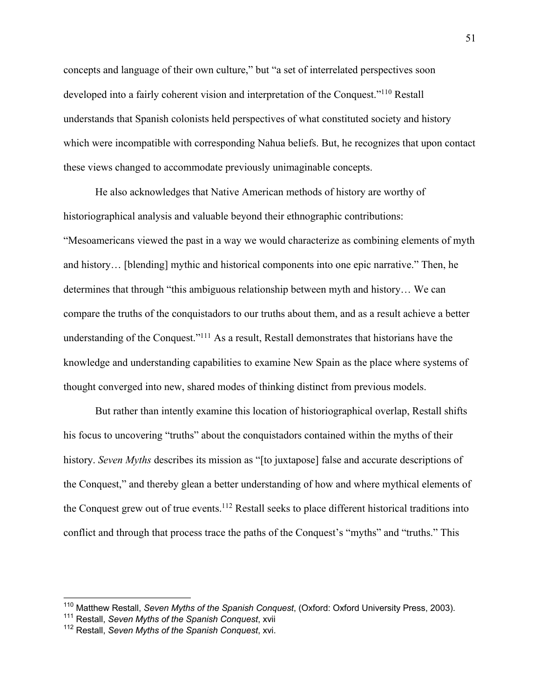concepts and language of their own culture," but "a set of interrelated perspectives soon developed into a fairly coherent vision and interpretation of the Conquest."110 Restall understands that Spanish colonists held perspectives of what constituted society and history which were incompatible with corresponding Nahua beliefs. But, he recognizes that upon contact these views changed to accommodate previously unimaginable concepts.

He also acknowledges that Native American methods of history are worthy of historiographical analysis and valuable beyond their ethnographic contributions: "Mesoamericans viewed the past in a way we would characterize as combining elements of myth and history… [blending] mythic and historical components into one epic narrative." Then, he determines that through "this ambiguous relationship between myth and history… We can compare the truths of the conquistadors to our truths about them, and as a result achieve a better understanding of the Conquest."<sup>111</sup> As a result, Restall demonstrates that historians have the knowledge and understanding capabilities to examine New Spain as the place where systems of thought converged into new, shared modes of thinking distinct from previous models.

But rather than intently examine this location of historiographical overlap, Restall shifts his focus to uncovering "truths" about the conquistadors contained within the myths of their history. *Seven Myths* describes its mission as "[to juxtapose] false and accurate descriptions of the Conquest," and thereby glean a better understanding of how and where mythical elements of the Conquest grew out of true events.112 Restall seeks to place different historical traditions into conflict and through that process trace the paths of the Conquest's "myths" and "truths." This

<sup>110</sup> Matthew Restall, *Seven Myths of the Spanish Conquest*, (Oxford: Oxford University Press, 2003).

<sup>111</sup> Restall, *Seven Myths of the Spanish Conquest*, xvii

<sup>112</sup> Restall, *Seven Myths of the Spanish Conquest*, xvi.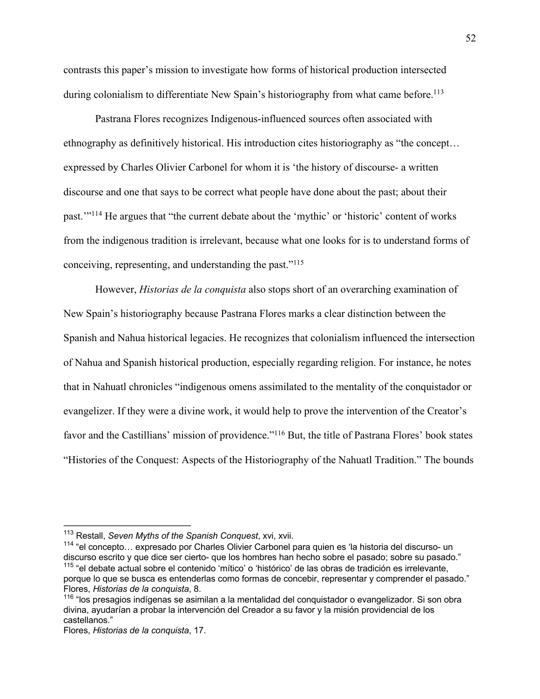contrasts this paper's mission to investigate how forms of historical production intersected during colonialism to differentiate New Spain's historiography from what came before.<sup>113</sup>

Pastrana Flores recognizes Indigenous-influenced sources often associated with ethnography as definitively historical. His introduction cites historiography as "the concept… expressed by Charles Olivier Carbonel for whom it is 'the history of discourse- a written discourse and one that says to be correct what people have done about the past; about their past.'"114 He argues that "the current debate about the 'mythic' or 'historic' content of works from the indigenous tradition is irrelevant, because what one looks for is to understand forms of conceiving, representing, and understanding the past."115

However, *Historias de la conquista* also stops short of an overarching examination of New Spain's historiography because Pastrana Flores marks a clear distinction between the Spanish and Nahua historical legacies. He recognizes that colonialism influenced the intersection of Nahua and Spanish historical production, especially regarding religion. For instance, he notes that in Nahuatl chronicles "indigenous omens assimilated to the mentality of the conquistador or evangelizer. If they were a divine work, it would help to prove the intervention of the Creator's favor and the Castillians' mission of providence."<sup>116</sup> But, the title of Pastrana Flores' book states "Histories of the Conquest: Aspects of the Historiography of the Nahuatl Tradition." The bounds

<sup>114</sup> "el concepto… expresado por Charles Olivier Carbonel para quien es 'la historia del discurso- un discurso escrito y que dice ser cierto- que los hombres han hecho sobre el pasado; sobre su pasado." <sup>115</sup> "el debate actual sobre el contenido 'mítico' o 'histórico' de las obras de tradición es irrelevante, porque lo que se busca es entenderlas como formas de concebir, representar y comprender el pasado." Flores, *Historias de la conquista*, 8.

<sup>113</sup> Restall, *Seven Myths of the Spanish Conquest*, xvi, xvii.

<sup>&</sup>lt;sup>116</sup> "los presagios indígenas se asimilan a la mentalidad del conquistador o evangelizador. Si son obra divina, ayudarían a probar la intervención del Creador a su favor y la misión providencial de los castellanos."

Flores, *Historias de la conquista*, 17.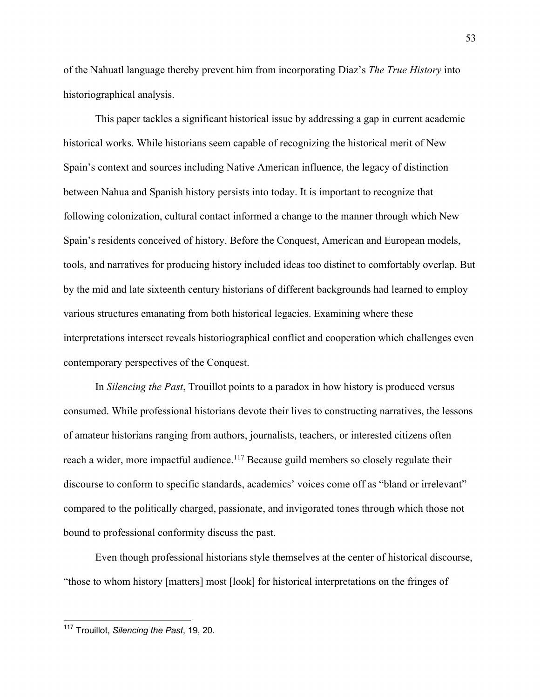of the Nahuatl language thereby prevent him from incorporating Díaz's *The True History* into historiographical analysis.

This paper tackles a significant historical issue by addressing a gap in current academic historical works. While historians seem capable of recognizing the historical merit of New Spain's context and sources including Native American influence, the legacy of distinction between Nahua and Spanish history persists into today. It is important to recognize that following colonization, cultural contact informed a change to the manner through which New Spain's residents conceived of history. Before the Conquest, American and European models, tools, and narratives for producing history included ideas too distinct to comfortably overlap. But by the mid and late sixteenth century historians of different backgrounds had learned to employ various structures emanating from both historical legacies. Examining where these interpretations intersect reveals historiographical conflict and cooperation which challenges even contemporary perspectives of the Conquest.

In *Silencing the Past*, Trouillot points to a paradox in how history is produced versus consumed. While professional historians devote their lives to constructing narratives, the lessons of amateur historians ranging from authors, journalists, teachers, or interested citizens often reach a wider, more impactful audience.<sup>117</sup> Because guild members so closely regulate their discourse to conform to specific standards, academics' voices come off as "bland or irrelevant" compared to the politically charged, passionate, and invigorated tones through which those not bound to professional conformity discuss the past.

Even though professional historians style themselves at the center of historical discourse, "those to whom history [matters] most [look] for historical interpretations on the fringes of

<sup>117</sup> Trouillot, *Silencing the Past*, 19, 20.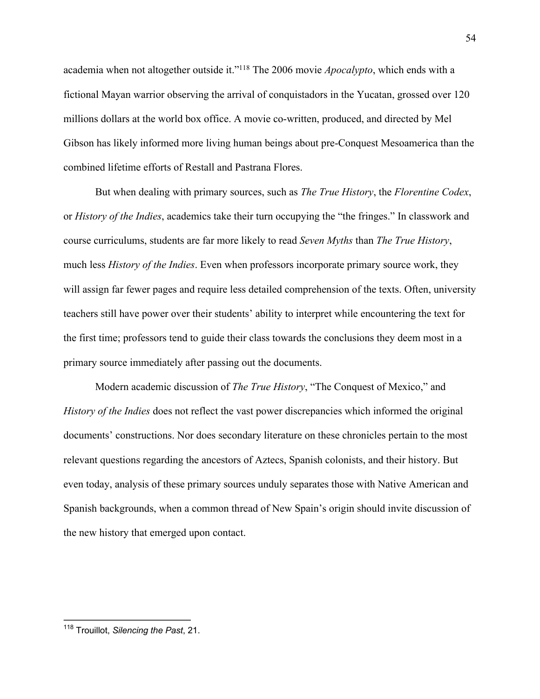academia when not altogether outside it."118 The 2006 movie *Apocalypto*, which ends with a fictional Mayan warrior observing the arrival of conquistadors in the Yucatan, grossed over 120 millions dollars at the world box office. A movie co-written, produced, and directed by Mel Gibson has likely informed more living human beings about pre-Conquest Mesoamerica than the combined lifetime efforts of Restall and Pastrana Flores.

But when dealing with primary sources, such as *The True History*, the *Florentine Codex*, or *History of the Indies*, academics take their turn occupying the "the fringes." In classwork and course curriculums, students are far more likely to read *Seven Myths* than *The True History*, much less *History of the Indies*. Even when professors incorporate primary source work, they will assign far fewer pages and require less detailed comprehension of the texts. Often, university teachers still have power over their students' ability to interpret while encountering the text for the first time; professors tend to guide their class towards the conclusions they deem most in a primary source immediately after passing out the documents.

Modern academic discussion of *The True History*, "The Conquest of Mexico," and *History of the Indies* does not reflect the vast power discrepancies which informed the original documents' constructions. Nor does secondary literature on these chronicles pertain to the most relevant questions regarding the ancestors of Aztecs, Spanish colonists, and their history. But even today, analysis of these primary sources unduly separates those with Native American and Spanish backgrounds, when a common thread of New Spain's origin should invite discussion of the new history that emerged upon contact.

<sup>118</sup> Trouillot, *Silencing the Past*, 21.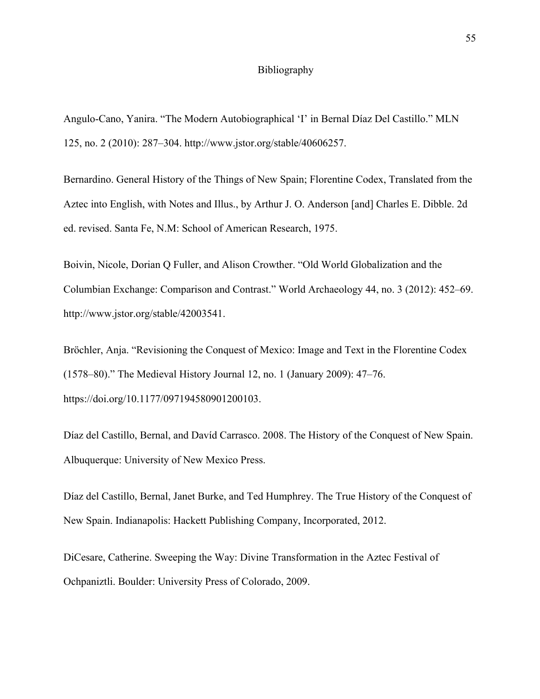### Bibliography

Angulo-Cano, Yanira. "The Modern Autobiographical 'I' in Bernal Díaz Del Castillo." MLN 125, no. 2 (2010): 287–304. http://www.jstor.org/stable/40606257.

Bernardino. General History of the Things of New Spain; Florentine Codex, Translated from the Aztec into English, with Notes and Illus., by Arthur J. O. Anderson [and] Charles E. Dibble. 2d ed. revised. Santa Fe, N.M: School of American Research, 1975.

Boivin, Nicole, Dorian Q Fuller, and Alison Crowther. "Old World Globalization and the Columbian Exchange: Comparison and Contrast." World Archaeology 44, no. 3 (2012): 452–69. http://www.jstor.org/stable/42003541.

Bröchler, Anja. "Revisioning the Conquest of Mexico: Image and Text in the Florentine Codex (1578–80)." The Medieval History Journal 12, no. 1 (January 2009): 47–76. https://doi.org/10.1177/097194580901200103.

Díaz del Castillo, Bernal, and Davíd Carrasco. 2008. The History of the Conquest of New Spain. Albuquerque: University of New Mexico Press.

Díaz del Castillo, Bernal, Janet Burke, and Ted Humphrey. The True History of the Conquest of New Spain. Indianapolis: Hackett Publishing Company, Incorporated, 2012.

DiCesare, Catherine. Sweeping the Way: Divine Transformation in the Aztec Festival of Ochpaniztli. Boulder: University Press of Colorado, 2009.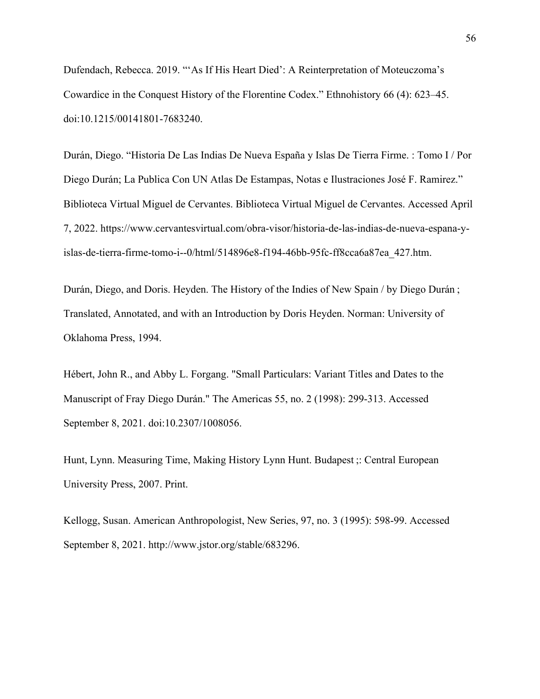Dufendach, Rebecca. 2019. "'As If His Heart Died': A Reinterpretation of Moteuczoma's Cowardice in the Conquest History of the Florentine Codex." Ethnohistory 66 (4): 623–45. doi:10.1215/00141801-7683240.

Durán, Diego. "Historia De Las Indias De Nueva España y Islas De Tierra Firme. : Tomo I / Por Diego Durán; La Publica Con UN Atlas De Estampas, Notas e Ilustraciones José F. Ramirez." Biblioteca Virtual Miguel de Cervantes. Biblioteca Virtual Miguel de Cervantes. Accessed April 7, 2022. https://www.cervantesvirtual.com/obra-visor/historia-de-las-indias-de-nueva-espana-yislas-de-tierra-firme-tomo-i--0/html/514896e8-f194-46bb-95fc-ff8cca6a87ea\_427.htm.

Durán, Diego, and Doris. Heyden. The History of the Indies of New Spain / by Diego Durán ; Translated, Annotated, and with an Introduction by Doris Heyden. Norman: University of Oklahoma Press, 1994.

Hébert, John R., and Abby L. Forgang. "Small Particulars: Variant Titles and Dates to the Manuscript of Fray Diego Durán." The Americas 55, no. 2 (1998): 299-313. Accessed September 8, 2021. doi:10.2307/1008056.

Hunt, Lynn. Measuring Time, Making History Lynn Hunt. Budapest ;: Central European University Press, 2007. Print.

Kellogg, Susan. American Anthropologist, New Series, 97, no. 3 (1995): 598-99. Accessed September 8, 2021. http://www.jstor.org/stable/683296.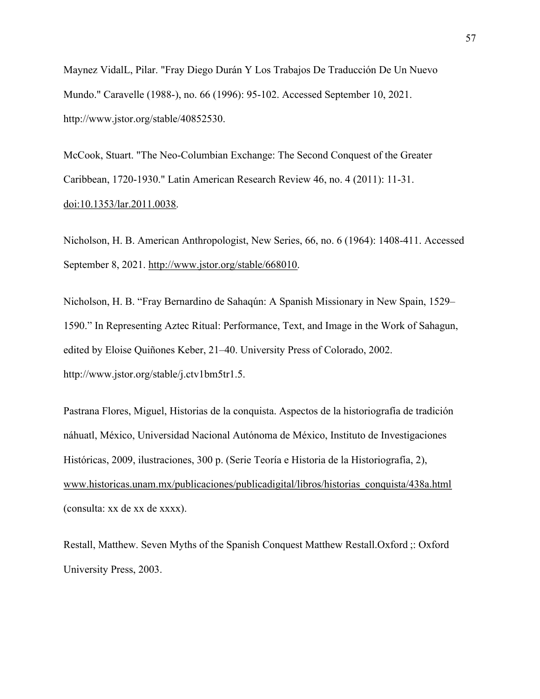Maynez VidalL, Pilar. "Fray Diego Durán Y Los Trabajos De Traducción De Un Nuevo Mundo." Caravelle (1988-), no. 66 (1996): 95-102. Accessed September 10, 2021. http://www.jstor.org/stable/40852530.

McCook, Stuart. "The Neo-Columbian Exchange: The Second Conquest of the Greater Caribbean, 1720-1930." Latin American Research Review 46, no. 4 (2011): 11-31. doi:10.1353/lar.2011.0038.

Nicholson, H. B. American Anthropologist, New Series, 66, no. 6 (1964): 1408-411. Accessed September 8, 2021. http://www.jstor.org/stable/668010.

Nicholson, H. B. "Fray Bernardino de Sahaqún: A Spanish Missionary in New Spain, 1529– 1590." In Representing Aztec Ritual: Performance, Text, and Image in the Work of Sahagun, edited by Eloise Quiñones Keber, 21–40. University Press of Colorado, 2002. http://www.jstor.org/stable/j.ctv1bm5tr1.5.

Pastrana Flores, Miguel, Historias de la conquista. Aspectos de la historiografía de tradición náhuatl, México, Universidad Nacional Autónoma de México, Instituto de Investigaciones Históricas, 2009, ilustraciones, 300 p. (Serie Teoría e Historia de la Historiografía, 2), www.historicas.unam.mx/publicaciones/publicadigital/libros/historias\_conquista/438a.html (consulta: xx de xx de xxxx).

Restall, Matthew. Seven Myths of the Spanish Conquest Matthew Restall.Oxford ;: Oxford University Press, 2003.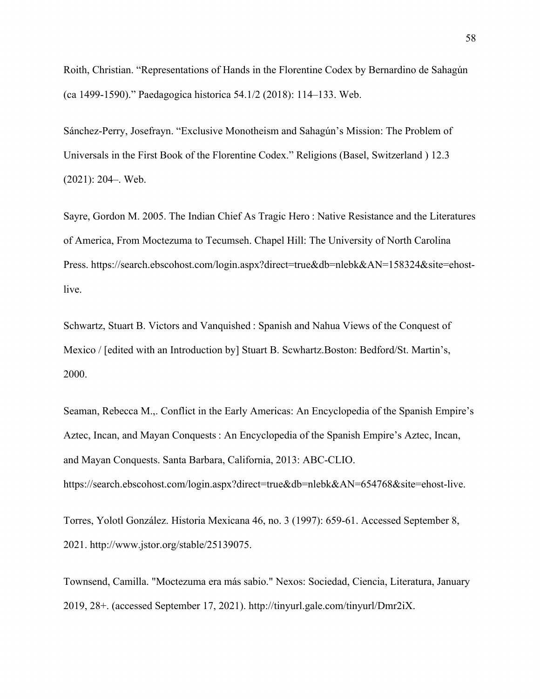Roith, Christian. "Representations of Hands in the Florentine Codex by Bernardino de Sahagún (ca 1499-1590)." Paedagogica historica 54.1/2 (2018): 114–133. Web.

Sánchez-Perry, Josefrayn. "Exclusive Monotheism and Sahagún's Mission: The Problem of Universals in the First Book of the Florentine Codex." Religions (Basel, Switzerland ) 12.3 (2021): 204–. Web.

Sayre, Gordon M. 2005. The Indian Chief As Tragic Hero : Native Resistance and the Literatures of America, From Moctezuma to Tecumseh. Chapel Hill: The University of North Carolina Press. https://search.ebscohost.com/login.aspx?direct=true&db=nlebk&AN=158324&site=ehostlive.

Schwartz, Stuart B. Victors and Vanquished : Spanish and Nahua Views of the Conquest of Mexico / [edited with an Introduction by] Stuart B. Scwhartz.Boston: Bedford/St. Martin's, 2000.

Seaman, Rebecca M.,. Conflict in the Early Americas: An Encyclopedia of the Spanish Empire's Aztec, Incan, and Mayan Conquests : An Encyclopedia of the Spanish Empire's Aztec, Incan, and Mayan Conquests. Santa Barbara, California, 2013: ABC-CLIO. https://search.ebscohost.com/login.aspx?direct=true&db=nlebk&AN=654768&site=ehost-live.

Torres, Yolotl González. Historia Mexicana 46, no. 3 (1997): 659-61. Accessed September 8, 2021. http://www.jstor.org/stable/25139075.

Townsend, Camilla. "Moctezuma era más sabio." Nexos: Sociedad, Ciencia, Literatura, January 2019, 28+. (accessed September 17, 2021). http://tinyurl.gale.com/tinyurl/Dmr2iX.